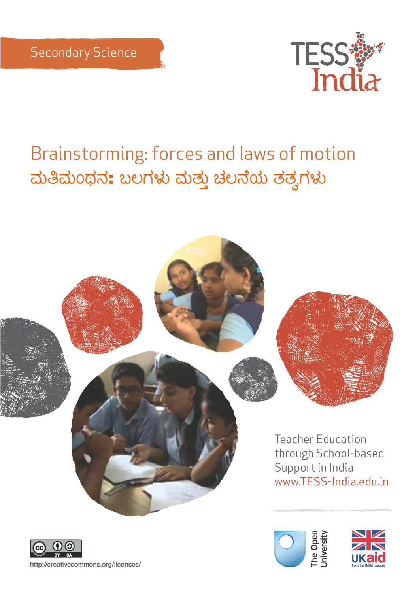

# Brainstorming: forces and laws of motion ಮತಿಮಂಥನ**:** ಬಲಗಳು ಮತ್ತು ಚಲನೆಯ ತತ್ವಗಳು







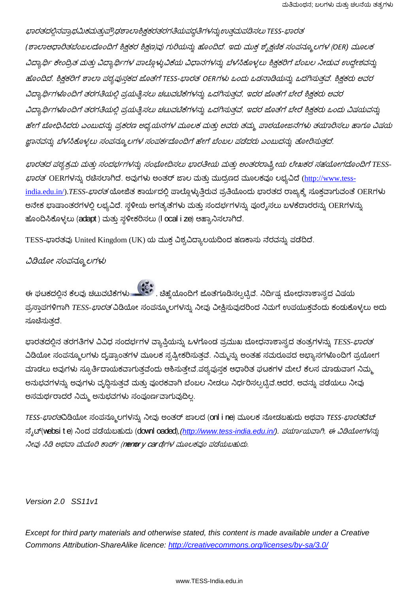#### ಭಾರತದಲ್ಲಿನಪ್ರಾಥಮಿಕಮತ್ತುಪ್ರೌಢಶಾಲಾಶಿಕ್ಷಕರತರಗತಿಯಪದ್ಧತಿಗಳನ್ನು ಉತ್ತಮಪಡಿಸಲು TESS-ಭಾರತ

(ಶಾಲಾಆಧಾರಿತಬೆಂಬಲದೊಂದಿಗೆ ಶಿಕ್ಷಕರ ಶಿಕ್ಷಣ)ವು ಗುರಿಯನ್ನು ಹೊಂದಿದೆ. ಇದು ಮುಕ್ತ ಶೈಕ್ಷಣಿಕ ಸಂಪನ್ಮೂಲಗಳ (OER) ಮೂಲಕ ವಿದ್ಯಾರ್ಥಿ ಕೇಂದ್ರಿತ ಮತ್ತು ವಿದ್ಯಾರ್ಥಿಗಳ ಪಾಲ್ಗೊಳ್ಳುವಿಕೆಯ ವಿಧಾನಗಳನ್ನು ಬೆಳೆಸಿಕೊಳ್ಳಲು ಶಿಕ್ಷಕರಿಗೆ ಬೆಂಬಲ ನೀಡುವ ಉದ್ದೇಶವನ್ನು ಹೊಂದಿದೆ. ಶ್ರಿಕ್ಷಕರಿಗೆ ಶಾಲಾ ಪಠ್ಯಪುಸ್ತಕದ ಜೊತೆಗೆ TESS-ಭಾರತ OERಗಳು ಒಂದು ಒಡನಾಡಿಯನ್ನು ಒದಗಿಸುತ್ತವೆ. ಶ್ರಿಕ್ಷಕರು ಅವರ ವಿದ್ಯಾರ್ಥಿಗಳೊಂದಿಗೆ ತರಗತಿಯಲ್ಲಿ ಪ್ರಯತ್ನಿಸಲು ಚಟುವಟಿಕೆಗಳನ್ನು ಒದಗಿಸುತ್ತವೆ, ಇದರ ಜೊತೆಗೆ ಬೇರೆ ಶಿಕ್ಷಕರು ಅವರ ವಿದ್ಯಾರ್ಥಿಗಳೊಂದಿಗೆ ತರಗತಿಯಲ್ಲಿ ಪ್ರಯತ್ನಿಸಲು ಚಟುವಟಿಕೆಗಳನ್ನು ಒದಗಿಸುತ್ತವೆ, ಇದರ ಜೊತೆಗೆ ಬೇರೆ ಶಿಕ್ಷಕರು ಒಂದು ವಿಷಯವನ್ನು ಹೇಗೆ ಬೋಧಿಸಿದರು ಎಂಬುದನ್ನು ಪ್ರಕರಣ ಅಧ್ಯಯನಗಳ ಮೂಲಕ ಮತ್ತು ಅವರು ತಮ್ಮ ಪಾಠಯೋಜನೆಗಳು ತಯಾರಿಸಲು ಹಾಗೂ ವಿಷಯ ಜ್ಞಾನವನ್ನು ಬೆಳೆಸಿಕೊಳ್ಳಲು ಸಂಪನ್ಮೂಲಗಳ ಸಂಪರ್ಕದೊಂದಿಗೆ ಹೇಗೆ ಬೆಂಬಲ ಪಡೆದರು ಎಂಬುದನ್ನು ತೋರಿಸುತ್ತದೆ.

ಭಾರತದ ಪಠ್ಯಕ್ರಮ ಮತ್ತು ಸಂದರ್ಭಗಳನ್ನು ಸಂಭೋದಿಸಲು ಭಾರತೀಯ ಮತ್ತು ಅಂತರರಾಷ್ಟ್ರೀಯ ಲೇಖಕರ ಸಹಯೋಗದೊಂದಿಗೆ TESS-*ಭಾರತ*ಂERಗಳನ್ನು ರಚಿಸಲಾಗಿದೆ. ಅವುಗಳು ಅಂತರ್ ಜಾಲ ಮತ್ತು ಮುದ್ರಣದ ಮೂಲಕವೂ ಲಭ್ಯವಿದೆ (http://www.tessindia.edu.in/).TESS-*ಭಾರತ* ಯೋಜಿತ ಕಾರ್ಯದಲ್ಲಿ ಪಾಲ್ಗೊಳ್ಳುತ್ತಿರುವ ಪ್ರತಿಯೊಂದು ಭಾರತದ ರಾಜ್ಯಕ್ಕೆ ಸೂಕ್ತವಾಗುವಂತೆ OERಗಳು ಅನೇಕ ಭಾಷಾಂತರಗಳಲ್ಲಿ ಲಭ್ಯವಿದೆ. ಸ್ಥಳೀಯ ಅಗತ್ಯತೆಗಳು ಮತ್ತು ಸಂದರ್ಭಗಳನ್ನು ಪೂರ್ರೈಸಲು ಬಳಕೆದಾರರನ್ನು OERಗಳನ್ನು ಹೊಂದಿಸಿಕೊಳ್ಳಲು (adapt) ಮತ್ತು ಸ್ಥಳೀಕರಿಸಲು (local i ze) ಆಹ್ವಾನಿಸಲಾಗಿದೆ.

TESS-ಭಾರತವು United Kingdom (UK) ಯ ಮುಕ್ತ ವಿಶ್ವವಿದ್ಯಾಲಯದಿಂದ ಹಣಕಾಸು ನೆರವನ್ನು ಪಡೆದಿದೆ.

#### ವಿಡಿಯೋ ಸಂಪನ್ಮೂಲಗಳು

ಪ್ರಸ್ತಾಪಗಳಿಗಾಗಿ *TESS-ಭಾರತ* ವಿಡಿಯೋ ಸಂಪನ್ಮೂಲಗಳನ್ನು ನೀವು ವೀಕ್ಷಿಸುವುದರಿಂದ ನಿಮಗೆ ಉಪಯುಕ್ತವೆಂದು ಕಂಡುಕೊಳ್ಳಲು ಅದು ಸೂಚಿಸುತದೆ.

ಭಾರತದಲ್ಲಿನ ತರಗತಿಗಳ ವಿವಿಧ ಸಂದರ್ಭಗಳ ವ್ಯಾಪ್ತಿಯನ್ನು ಒಳಗೊಂಡ ಪ್ರಮುಖ ಬೋಧನಾಶಾಸ್ತ್ರದ ತಂತ್ರಗಳನ್ನು TESS-*ಭಾರತ* ವಿಡಿಯೋ ಸಂಪನ್ಮೂಲಗಳು ದೃಷ್ಟಾಂತಗಳ ಮೂಲಕ ಸೃಷ್ಟೀಕರಿಸುತ್ತವೆ. ನಿಮ್ಮನ್ನು ಅಂತಹ ಸಮರೂಪದ ಅಭ್ಯಾಸಗಳೊಂದಿಗೆ ಪ್ರಯೋಗ ಮಾಡಲು ಅವುಗಳು ಸ್ಪೂರ್ತಿದಾಯಕವಾಗುತ್ತವೆಂದು ಆಶಿಸುತ್ತೇವೆ.ಪಠ್ಯಪುಸ್ತಕ ಆಧಾರಿತ ಘಟಕಗಳ ಮೇಲೆ ಕೆಲಸ ಮಾಡುವಾಗ ನಿಮ್ಮ ಅನುಭವಗಳನ್ನು ಅವುಗಳು ವೃದ್ಧಿಸುತ್ತವೆ ಮತ್ತು ಪೂರಕವಾಗಿ ಬೆಂಬಲ ನೀಡಲು ನಿರ್ಧರಿಸಲ್ಪಟ್ಟಿವೆ.ಆದರೆ, ಅವನ್ನು ಪಡೆಯಲು ನೀವು ಅಸಮರ್ಥರಾದರೆ ನಿಮ್ಮ ಅನುಭವಗಳು ಸಂಪೂರ್ಣವಾಗುವುದಿಲ್ಲ.

TESS-*ಭಾರತ*ವಿಡಿಯೋ ಸಂಪನ್ಮೂಲಗಳನ್ನು ನೀವು ಅಂತರ್ ಜಾಲದ (onl i ne) ಮೂಲಕ ನೋಡಬಹುದು ಅಥವಾ TESS-*ಭಾರತ*ವೆಬ್ ಸ್ಮೆಟ್(**vebsi t e**) ನಿಂದ ಪಡೆಯಬಹುದು (**downl oaded**),*(http://www.tess-india.edu.in/). ಪರ್ಯಾಯವಾಗಿ, ಈ ವಿಡಿಯೋಗಳನ್ನು* ನೀವು ಸಿಡಿ ಅಥವಾ ಮೆಮೊರಿ ಕಾರ್ಡ್ (nenory card)ಗಳ ಮೂಲಕವೂ ಪಡೆಯಬಹುದು.

Version 2.0 SS11v1

Except for third party materials and otherwise stated, this content is made available under a Creative Commons Attribution-ShareAlike licence: http://creativecommons.org/licenses/by-sa/3.0/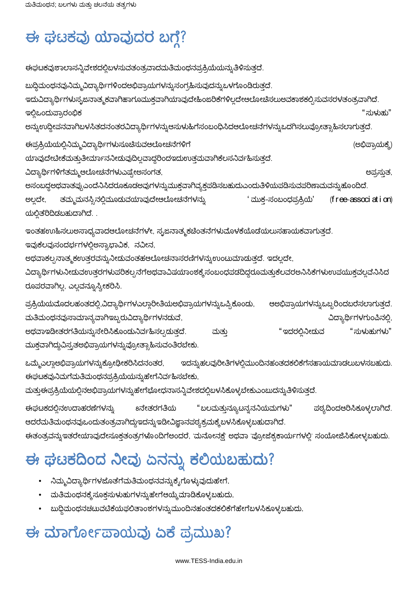# ಈ ಘಟಕವು ಯಾವುದರ ಬಗ್ಗೆ?

ಈಘಟಕವುಶಾಲಾಸನ್ನಿವೇಶದಲ್ಲಿಬಳಸುವತಂತ್ರವಾದಮತಿಮಂಥನಪ್ರಕ್ರಿಯೆಯನ್ನುತಿಳಿಸುತ್ತದೆ. ಬುದ್ಧಿಮಂಥನವುನಿಮ್ಮವಿದ್ಯಾರ್ಥಿಗಳಿಂದಅಭಿಪ್ರಾಯಗಳನ್ನುಸಂಗ್ರಹಿಸುವುದನ್ನುಒಳಗೊಂಡಿರುತ್ತದೆ. ಇದುವಿದ್ಯಾರ್ಥಿಗಳುಸೃಜನಾತ್ಮಕವಾಗಿಹಾಗೂಮುಕ್ತವಾಗಿಯಾವುದೇಹಿಂಜರಿಕೆಗಳಿಲ್ಲದೇಆಲೋಚಿಸಲುಅವಕಾಶಕಲ್ಪಿಸುವಸರಳತಂತ್ರವಾಗಿದೆ. "ಸುಳುಹು" ಇಲ್ಲಿಒಂದುಪ್ರಾರಂಭಿಕ ಅನ್ನುಉದ್ದೀಪನವಾಗಿಬಳಸಿತದನಂತರವಿದ್ಯಾರ್ಥಿಗಳನ್ನುಆಸುಳುಹಿಗೆಸಂಬಂಧಿಸಿದಆಲೋಚನೆಗಳನ್ನುಒದಗಿಸಲುಪ್ರೋತ್ಸಾಹಿಸಲಾಗುತ್ತದೆ. ಈಪ್ರಕ್ರಿಯೆಯಲ್ಲಿನಿಮ್ಮವಿದ್ಯಾರ್ಥಿಗಳುಸೂಚಿಸುವಆಲೋಚನೆಗಳಿಗೆ (ಅಭಿಪ್ರಾಯಕ್ಕೆ) ಯಾವುದೇಟೀಕೆಮತ್ತುತೀರ್ಮಾನನೀಡುವುದಿಲ್ಲವಾದ್ದರಿಂದಇದುಉತ್ತಮವಾಗಿಕೆಲಸನಿರ್ವಹಿಸುತ್ತದೆ. ವಿದ್ಯಾರ್ಥಿಗಳಿಗೆತಮ್ಮಆಲೋಚನೆಗಳುಎಷ್ಟೇಅಸಂಗತ, ಅಪ್ರಸ್ತುತ, ಅಸಂಬದ್ಧಅಥವಾತಪ್ಪುಎಂದೆನಿಸಿದರೂಕೂಡಅವುಗಳನ್ನುಮುಕ್ತವಾಗಿವ್ಯಕ್ತಪಡಿಸಬಹುದುಎಂದುತಿಳಿಯಪಡಿಸುವಪರಿಣಾಮವನ್ನುಹೊಂದಿದೆ. (free-association) ತಮ್ಮದುನಸ್ಸಿನಲ್ಲಿಮೂಡುವಯಾವುದೇಆಲೋಚನೆಗಳನ್ನು ' ಮುಕ್ತ-ಸಂಬಂಧಪ್ರಕ್ರಿಯೆ' ಅಲ್ಲದೇ, ಯಲ್ಲಿತೆರಿದಿಡಬಹುದಾಗಿದೆ.. ಇಂತಹಉುಹಿಸಲುಅಸಾಧ್ಯವಾದಆಲೋಚನೆಗಳೇ, ಸೃಜನಾತ್ಮಕಚೆಂತನೆಗಳುಮೊಳಕೆಯೊಡೆಯಲುಸಹಾಯಕವಾಗುತ್ತದೆ. ಇವುಕೆಲವುಸಂದರ್ಭಗಳಲ್ಲಿಅಸ್ವಾಭಾವಿಕ, ನವೀನ, ಅಥವಾಕಲ್ಪನಾತ್ಮಕಉತ್ತರವನ್ನುನೀಡುವಂತಹಆಲೋಚನಾಸರಣಿಗಳನ್ನುಉಂಟುಮಾಡುತ್ತದೆ. ಇದಲ್ಲದೇ, ವಿದ್ಯಾರ್ಥಿಗಳುನೀಡುವಉತ್ತರಗಳುಪರಿಕಲ್ಪನೆಗೆಅಥವಾವಿಷಯಾಂಶಕ್ಕೆ ಸಂಬಂಧಪಡದಿದ್ದರೂಮತ್ತುಕೆಲವರಅನಿಸಿಕೆಗಳುಉಪಯುಕ್ತವಲ್ಲವೆನಿಸಿದ ರೂಪರವಾಗಿಲ್ಲ, ಎಲ್ಲವನ್ನೂಸ್ವೀಕರಿಸಿ. ಪ್ರಕ್ರಿಯೆಯದೊದಲಹಂತದಲ್ಲಿ,ವಿದ್ಯಾರ್ಥಿಗಳಎಲ್ಲಾರೀತಿಯಅಭಿಪ್ರಾಯಗಳನ್ನುಒಪ್ಪಿಕೊಂಡು, ಆಅಭಿಪ್ರಾಯಗಳನ್ನುಒಬ್ಬರಿಂದಬರೆಸಲಾಗುತ್ತದೆ. ಮತಿಮಂಥನವುಸಾಮಾನ್ಯವಾಗಿಇಬ್ಬರುವಿದ್ಯಾರ್ಥಿಗಳನಡುವೆ, ವಿದ್ಯಾರ್ಥಿಗಳಗುಂಪಿನಲ್ಲಿ, "ಇದರಲ್ಲಿನೀಡುವ "ಸುಳುಹುಗಳು" ಅಥವಾಇಡೀತರಗತಿಯನ್ನುಸೇರಿಸಿಕೊಂಡುನಿರ್ವಹಿಸಲ್ಪಡುತ್ತದೆ. ದುತು ಮುಕ್ತವಾಗಿದ್ದುವಿಸ್ತ್ರತಅಭಿಪ್ರಾಯಗಳನ್ನುಪ್ರೋತ್ಸಾಹಿಸುವಂತಿರಬೇಕು. ಇದನ್ನುಹಲವುರೀತಿಗಳಲ್ಲಿಮುಂದಿನಹಂತದಕಲಿಕೆಗೆಸಹಾಯಮಾಡಲುಬಳಸಬಹುದು. ಒಮ್ಮೆಎಲ್ಲಾಅಭಿಪ್ರಾಯಗಳನ್ನುಕ್ರೋಢೀಕರಿಸಿದನಂತರ, ಈಘಟಕವುನಿಮಗೆಮತಿಮಂಥನಪ್ರಕ್ರಿಯೆಯನ್ನುಹೇಗೆನಿರ್ವಹಿಸಬೇಕು, ಮತ್ತುಈಪ್ರಕ್ರಿಯೆಯಲ್ಲಿನಅಭಿಪ್ರಾಯಗಳನ್ನುಹೇಗೆಭೋಧನಾಸನ್ನಿವೇಶದಲ್ಲಿಬಳಸಿಕೊಳ್ಳಬೇಕುಎಂಬುದನ್ನುತಿಳಿಸುತ್ತದೆ.

"ಬಲಮತ್ತುನ್ಯೂಟನ್ನನನಿಯಮಗಳು" ಈಘಟಕದಲ್ಲಿನಉದಾಹರಣೆಗಳನ್ನು 8ನೇತರಗ*ತಿ*ಯ ಪಠ್ಯದಿಂದಆರಿಸಿಕೂಳ್ಳಲಾಗಿದೆ. ಆದರೆಮತಿಮಂಥನವುಒಂದುತಂತ್ರವಾಗಿದ್ದುಇದನ್ನುಇಡೀವಿಜ್ಞಾನಪಠ್ಯಕ್ರಮಕ್ಕೆಬಳಸಿಕೊಳ್ಳಬಹುದಾಗಿದೆ. ಈತಂತ್ರವನ್ನು ಇತರೇಯಾವುದೇಸೂಕ್ತತಂತ್ರಗಳೊಂದಿಗೆಅಂದರೆ, 'ಮನೋನಕ್ಷೆ' ಅಥವಾ 'ಪ್ರೋಜೆಕ್ಸಕಾರ್ಯಗಳಲ್ಲಿ' ಸಂಯೋಜಿಸಿಕೋಳ್ಳಬಹುದು.

# ಈ ಘಟಕದಿಂದ ನೀವು ಏನನ್ನು ಕಲಿಯಬಹುದು?

- ನಿಮ್ಮವಿದ್ಯಾರ್ಥಿಗಳಜೊತೆಗೆಮತಿಮಂಥನವನ್ನುಕ್ಕೆಗೊಳ್ಳುವುದುಹೇಗೆ.
- ಮತಿಮಂಥನಕ್ಕೆ ಸೂಕ್ತಸುಳುಹುಗಳನ್ನುಹೇಗೆಆಯ್ಕೆ ಮಾಡಿಕೊಳ್ಳಬಹುದು.
- ಬುಧ್ಧಿಮಂಥನಚಟುವಟಿಕೆಯಫಲಿತಾಂಶಗಳನ್ನುಮುಂದಿನಹಂತದಕಲಿಕೆಗೆಹೇಗೆಬಳಸಿಕೂಳ್ಳಬಹುದು.

# ಈ ಮಾರ್ಗೋಪಾಯವು ಏಕೆ ಪ್ರಮುಖ?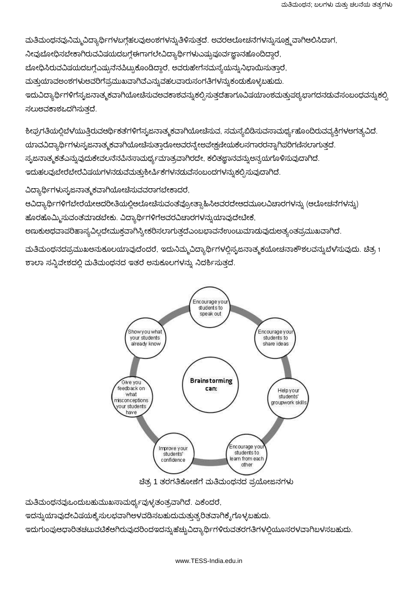ಮತಿಮಂಥನವುನಿಮ್ಮವಿದ್ಯಾರ್ಥಿಗಳಬಗ್ಗೆಹಲವುಅಂಶಗಳನ್ನುತಿಳಿಸುತ್ತದೆ. ಅವರಆಲೋಚನೆಗಳನ್ನುಸೂಕ್ಷ್ಮವಾಗಿಆಲಿಸಿದಾಗ, ನೀವುಬೋಧಿಸಬೇಕಾಗಿರುವವಿಷಯದಬಗ್ಗೆಈಗಾಗಲೇವಿದ್ಯಾರ್ಥಿಗಳುಎಷ್ಟುಪೂರ್ವಜ್ಞಾನಹೊಂದಿದ್ದಾರೆ, ಬೋಧಿಸಿರುವವಿಷಯದಬಗ್ಗೆಎಷ್ಟುನೆನಪಿಟ್ಟುಕೊಂಡಿದ್ದಾರೆ, ಅವರುಹೇಗೆಸಮಸ್ಯೆಯನ್ನುನಿಭಾಯಿಸುತ್ತಾರೆ, ಮತ್ತುಯಾವಅಂಶಗಳುಅವರಿಗೆಪ್ರಮುಖವಾಗಿವೆಎನ್ನುವಹಲವಾರುಸಂಗತಿಗಳನ್ನುಕಂಡುಕೊಳ್ಳಬಹುದು. ಇದುವಿದ್ಯಾರ್ಥಿಗಳಿಗೆಸ್ಸಜನಾತ್ಮಕವಾಗಿಯೋಚಿಸುವಅವಕಾಶವನ್ನುಕಲ್ಪಿಸುತ್ತದೆಹಾಗೂವಿಷಯಾಂಶಮತ್ತುಪಠ್ಯಭಾಗದನಡುವೆಸಂಬಂಧವನ್ನುಕಲ್ಪಿ ಸಲುಅವಕಾಶಒದಗಿಸುತದೆ.

ಶೀಘ್ರಗತಿಯಲ್ಲಿಬೆಳೆಯುತ್ತಿರುವಆರ್ಥಿಕತೆಗಳಿಗೆಸ್ನಜನಾತ್ಮಕವಾಗಿಯೋಚಿಸುವ, ಸಮಸ್ಯೆಬಿಡಿಸುವಸಾಮರ್ಥ್ಯಹೊಂದಿರುವವ್ಯಕ್ತಿಗಳಅಗತ್ಯವಿದೆ. ಯಾವವಿದ್ಯಾರ್ಥಿಗಳುಸ್ಸಜನಾತ್ಮಕವಾಗಿಯೋಚಿಸುತ್ತಾರೋಅವರನ್ನೇಅಪೇಕ್ಷಣೀಯಕೆಲಸಗಾರರನ್ನಾಗಿಪರಿಗಣಿಸಲಾಗುತ್ತದೆ. ಸೃಜನಾತ್ಮಕತೆಎನ್ನುವುದುಕೇದಲನೆನಪಿನಸಾಮರ್ಥ್ಯಮಾತ್ರವಾಗಿರದೇ, ಕಲಿತಜ್ಞಾನವನ್ನುಅನ್ವಯಗೊಳಿಸುವುದಾಗಿದೆ. ಇದುಹಲವುಬೇರೆಬೇರೆವಿಷಯಗಳನಡುವೆಮತ್ತುಶೀರ್ಷಿಕೆಗಳನಡುವೆಸಂಬಂದಗಳನ್ನುಕಲ್ಪಿಸುವುದಾಗಿದೆ.

ವಿದ್ಯಾರ್ಥಿಗಳುಸ್ಸಜನಾತ್ಮಕವಾಗಿಯೋಚಿಸುವವರಾಗಬೇಕಾದರೆ,

ಆವಿದ್ಯಾರ್ಥಿಗಳಿಗೆಬೇರೆಯೇಆದರೀತಿಯಲ್ಲಿಆಲೋಚಿಸುವಂತೆಪ್ರೋತ್ಸಾಹಿಸಿಅವರದೇಆದಮೂಲವಿಚಾರಗಳನ್ನು (ಆಲೋಚನೆಗಳನ್ನು) ಹೊರಹೊಮ್ಮಿಸುವಂತೆಮಾಡಬೇಕು. ವಿದ್ಯಾರ್ಥಿಗಳಿಗೆಅವರವಿಚಾರಗಳನ್ನುಯಾವುದೇಟೇಕೆ,

ಅಣುಕುಅಥವಾಪರಿಹಾಸ್ಯವಿಲ್ಲದೇಮುಕ್ತವಾಗಿಸ್ಟೀಕರಿಸಲಾಗುತ್ತದೆಎಂಬಭಾವನೆಉಂಟುಮಾಡುವುದುಅತ್ಯಂತಪ್ರಮುಖವಾಗಿದೆ.

ಮತಿಮಂಥನದಪ್ರಮುಖಅನುಕೂಲಯಾವುದೆಂದರೆ, ಇದುನಿಮ್ಮವಿದ್ಯಾರ್ಥಿಗಳಲ್ಲಿಸ್ಖಜನಾತ್ಮಕಯೋಚನಾಕೌಶಲವನ್ನುಬೆಳೆಸುವುದು. ಚಿತ್ರ 1 ಶಾಲಾ ಸನ್ನಿವೇಶದಲ್ಲಿ ಮತಿಮಂಥನದ ಇತರೆ ಅನುಕೂಲಗಳನ್ನು ನಿದರ್ಶಿಸುತ್ತದೆ.



ಚಿತ್ರ 1 ತರಗತಿಕೋಣೆಗೆ ಮತಿಮಂಥನದ ಪ್ರಯೋಜನಗಳು

ಮತಿಮಂಥನವುಒಂದುಬಹುಮುಖಸಾಮರ್ಥ್ಯವುಳ್ಳತಂತ್ರವಾಗಿದೆ. ಏಕೆಂದರೆ,

ಇದನ್ನುಯಾವುದೇವಿಷಯಕ್ಕೆ ಸುಲಭವಾಗಿಅಳವಡಿಸಬಹುದುಮತ್ತುತ್ವರಿತವಾಗಿಕ್ಕೆಗೊಳ್ಳಬಹುದು.

ಇದುಗುಂಪುಆಧಾರಿತಚಟುವಟಿಕೆಆಗಿರುವುದರಿಂದಇದನ್ನುಹೆಚ್ಚುವಿದ್ಯಾರ್ಥಿಗಳಿರುವತರಗತಿಗಳಲ್ಲಿಯೂಸರಳವಾಗಿಬಳಸಬಹುದು.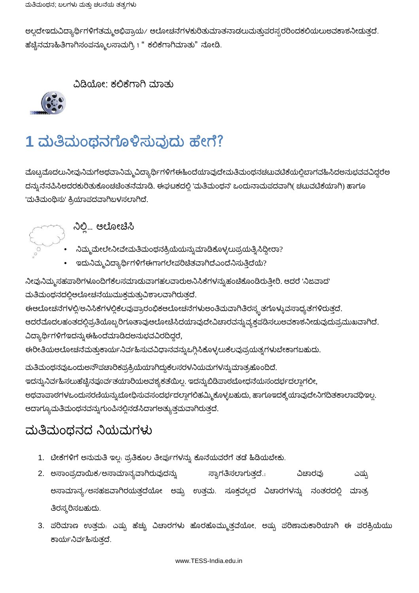ಅಲ್ಲದೇಇದುವಿದ್ಯಾರ್ಥಿಗಳಿಗೆತಮ್ಮಅಭಿಪ್ರಾಯ/ ಆಲೋಚನೆಗಳಕುರಿತುಮಾತನಾಡಲುಮತ್ತುಪರಸ್ಪರರಿಂದಕಲಿಯಲುಅವಕಾಶನೀಡುತ್ತದೆ. ಹೆಚ್ಚಿನಮಾಹಿತಿಗಾಗಿಸಂಪನ್ಮೂಲಸಾಮಗ್ರಿ 1 " ಕಲಿಕೆಗಾಗಿಮಾತು" ನೋಡಿ.



ವಿಡಿಯೋ: ಕಲಿಕೆಗಾಗಿ ಮಾತು

## 1 ಮತಿಮಂಥನಗೊಳಿಸುವುದು ಹೇಗೆ?

ಮೊಟ್ಟಮೊದಲುನೀವುನಿಮಗೆಅಥವಾನಿಮ್ಮ್ರವಿದ್ಯಾರ್ಥಿಗಳಿಗೆಈಹಿಂದೆಯಾವುದೇಮತಿಮಂಥನಚಟುವಟಿಕೆಯಲ್ಲಿಬಾಗವಹಿಸಿದಅನುಭವವವಿದ್ದರೆಅ ದನ್ನುನೆನಪಿಸಿಅದರಕುರಿತುಕೊಂಚಚಿಂತನೆಮಾಡಿ. ಈಘಟಕದಲ್ಲಿ 'ಮತಿಮಂಥನ' ಒಂದುನಾಮಪದವಾಗಿ( ಚಟುವಟಿಕೆಯಾಗಿ) ಹಾಗೂ 'ಮತಿಮಂಥಿಸು' ಕ್ರಿಯಾಪದವಾಗಿಬಳಸಲಾಗಿದೆ.



ನಿಲ್ಲಿ... ಆಲೋಚಿಸಿ

- ನಿಮ್ಮಮೇಲೇನೀವೇಮತಿಮಂಥನಕ್ರಿಯೆಯನ್ನುಮಾಡಿಕೊಳ್ಳಲುಪ್ರಯತ್ನಿಸಿದ್ದೀರಾ?
- ಇದುನಿಮ್ಮವಿದ್ಯಾರ್ಥಿಗಳಿಗೆಈಗಾಗಲೇಪರಿಚಿತವಾಗಿದೆಎಂದೆನಿಸುತ್ತಿದೆಯೆ?

ನೀವುನಿಮ್ಮಸಹಪಾಠಿಗಳೂಂದಿಗೆಕೆಲಸಮಾಡುವಾಗಹಲವಾರುಅನಿಸಿಕೆಗಳನ್ನುಹಂಚಿಕೊಂಡಿರುತ್ತೀರಿ. ಆದರೆ 'ನಿಜವಾದ' 'ಮತಿಮಂಥನದಲ್ಲಿಆಲೋಚನೆಯುಮುಕ್ತಮತ್ತುವಿಶಾಲವಾಗಿರುತ್ತದೆ. ಈಆಲೋಚನೆಗಳಲ್ಲಿ/ಅನಿಸಿಕೆಗಳಲ್ಲಿಕೆಲವುಪ್ರಾರಂಭಿಕಆಲೋಚನೆಗಳುಅಂತಿಮವಾಗಿತಿರಸ್ತ್ಯತಗೊಳ್ಳುವಸಾಧ್ಯತೆಗಳಿರುತ್ತದೆ. ಆದರೆಮೊದಲಹಂತದಲ್ಲಿಪ್ರತಿಯೊಬ್ಬರಿಗೂತಾವುಆಲೋಚಿಸಿದಯಾವುದೇವಿಚಾರವನ್ನುವ್ಯಕ್ತಪಡಿಸಲುಅವಕಾಶನೀಡುವುದುಪ್ರಮುಖವಾಗಿದೆ. ವಿದ್ಯಾರ್ಥಿಗಳಿಗೆಇದನ್ನುಈಹಿಂದೆಮಾಡಿದಲನುಭವವಿರದಿದ್ದರೆ, ಈರೀತಿಯಆಲೋಚನೆಮತುಕಾರ್ಯನಿರ್ವಹಿಸುವವಿಧಾನವನ್ನುಒಗ್ಗಿಸಿಕೊಳ್ಳಲುಕೆಲವುಪ್ರಯತ್ನಗಳುಬೇಕಾಗಬಹುದು.

ಮತಿಮಂಥನವುಒಂದುಅನೌಪಚಾರಿಕಪ್ರಕ್ರಿಯೆಯಾಗಿದ್ದುಕೆಲಸರಳನಿಯಮಗಳನ್ನುಮಾತ್ರಹೊಂದಿದೆ. ಇದನ್ನುನಿರ್ವಹಿಸಲುಹೆಚ್ಚಿನಪೂರ್ವತಯಾರಿಯಅವಶ್ಯಕತೆಯಿಲ್ಲ. ಇದನ್ನುಬಿಡಿಪಾಠಬೋಧನೆಯಸಂದರ್ಭದಲ್ಲಾಗಲೀ, ಅಥವಾಪಾಠಗಳಒಂದುಸರಣಿಯನ್ನುಬೋಧಿಸುವಸಂದರ್ಭದಲ್ಲಾಗಲಿಹಮ್ಮಿಕೊಳ್ಳಬಹುದು, ಹಾಗೂಇದಕ್ಕೆಯಾವುದೇನಿಗದಿತಕಾಲಾವಧಿಇಲ್ಲ. ಆದಾಗ್ಯೂಮತಿಮಂಥನವನ್ನುಗುಂಪಿನಲ್ಲಿನಡೆಸಿದಾಗಅತ್ಯುತ್ತಮವಾಗಿರುತ್ತದೆ.

#### ಮತಿಮಂದನದ ನಿಯಮಗಳು

- 1. ಟೀಕೆಗಳಿಗೆ ಅನುಮತಿ ಇಲ್ಲ. ಪ್ರತಿಕೂಲ ತೀರ್ಪುಗಳನ್ನು ಕೊನೆಯವರೆಗೆ ತಡೆ ಹಿಡಿಯಬೇಕು.
- 2. ಅಸಾಂಪ್ರದಾಯಿಕ/ಅಸಾಮಾನ್ಯವಾಗಿರುವುದನ್ನು ಸ್ತಾಗತಿಸಲಾಗುತದೆ.. ವಿಚಾರವು ಎಷ್ರು ಅಸಾಮಾನ್ಯ/ಅಸಹಜವಾಗಿರಯತ್ತದೆಯೋ ಅಷ್ಟು ಉತ್ತಮ. ಸೂಕ್ತದಲ್ಲದ ವಿಚಾರಗಳನ್ನು ನಂತರದಲ್ಲಿ ಮಾತ್ರ ತಿರಸ್ಕರಿಸಬಹುದು.
- 3. ಪರಿಮಾಣ ಉತ್ತಮ: ಎಷ್ಸು ಹೆಚ್ಚು ವಿಚಾರಗಳು ಹೊರಹೊಮ್ಮುತ್ತವೆಯೋ, ಅಷ್ಸು ಪರಿಣಾಮಕಾರಿಯಾಗಿ ಈ ಪರಕ್ರಿಯೆಯು ಕಾರ್ಯನಿರ್ವಹಿಸುತ್ತದೆ.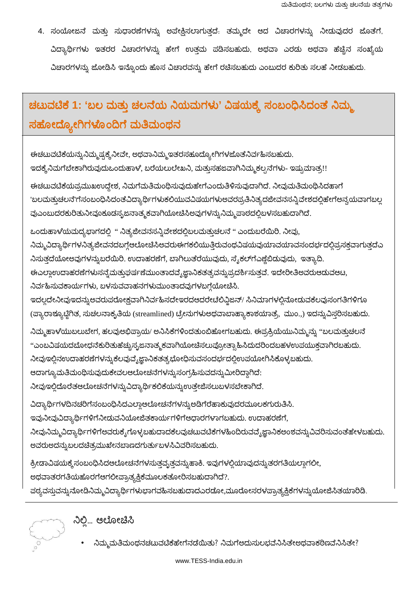4. ಸಂಯೋಜನೆ ಮತ್ತು ಸುಧಾರಣೆಗಳನ್ನು ಅಪೇಕ್ಷಿಸಲಾಗುತ್ತದೆ. ತಮ್ಮದೇ ಆದ ವಿಚಾರಗಳನ್ನು ನೀಡುವುದರ ಜೊತೆಗೆ, ವಿದ್ಯಾರ್ಥಿಗಳು ಇತರರ ವಿಚಾರಗಳನ್ನು ಹೇಗೆ ಉತ್ತಮ ಪಡಿಸಬಹುದು, ಅಥವಾ ಎರಡು ಅಥವಾ ಹೆಚ್ಚಿನ ಸಂಖ್ಯೆಯ ವಿಚಾರಗಳನ್ನು ಜೋಡಿಸಿ ಇನ್ನೊಂದು ಹೊಸ ವಿಚಾರವನ್ನು ಹೇಗೆ ರಚಿಸಬಹುದು ಎಂಬುದರ ಕುರಿತು ಸಲಹೆ ನೀಡಬಹುದು.

### ಚಟುವಟಿಕೆ 1: 'ಬಲ ಮತ್ತು ಚಲನೆಯ ನಿಯಮಗಳು' ವಿಷಯಕ್ಕೆ ಸಂಬಂಧಿಸಿದಂತೆ ನಿಮ್ಮ ಸಹೋದ್ಯೋಗಿಗಳೊಂದಿಗೆ ಮತಿಮಂಥನ

ಈಚಟುವಟಿಕೆಯನ್ನುನಿಮ್ಮಷ್ಪಕ್ಕೆನೀವೇ, ಅಥವಾನಿಮ್ಮಇತರಸಹೂದ್ಯೋಗಿಗಳಜೊತೆನಿರ್ವಹಿಸಬಹುದು. ಇದಕ್ಕೆ ನಿಮಗೆಬೇಕಾಗಿರುವುದುಒಂದುಹಾಳೆ, ಬರೆಯಲುಲೇಖನಿ, ಮತ್ತುಸಹಜವಾಗಿನಿಮ್ಮಕಲ್ಪನೆಗಳು- ಇಷ್ಟುಮಾತ್ರ!!

ಈಚಟುವಟಿಕೆಯಪ್ರಮುಖಉದ್ದೇಶ, ನಿಮಗೆಮತಿಮಂಥಿಸುವುದುಹೇಗೆಎಂದುತಿಳಿಸುವುದಾಗಿದೆ. ನೀವುಮತಿಮಂಥಿಸಿದಹಾಗೆ 'ಬಲದುತ್ತುಚಲನೆ'ಗೆಸಂಬಂಧಿಸಿದಂತೆವಿದ್ಯಾರ್ಥಿಗಳುಕಲಿಯುವವಿಷಯಗಳುಅವರಪ್ರತಿನಿತ್ಯದಜೀವನಸನ್ನಿವೇಶದಲ್ಲಿಹೇಗೆಅನ್ವಯವಾಗಬಲ್ಲ ವುಎಂಬುದರಕುರಿತುನೀವೂಕೂಡಸ್<mark>ಖ</mark>ಜನಾತ್ಮಕವಾಗಿಯೋಚಿಸಿಅವುಗಳನ್ನುನಿಮ್ಮಪಾಠದಲ್ಲಿಬಳಸಬಹುದಾಗಿದೆ.

ಒಂದುಹಾಳೆಯಮದ್ಯಭಾಗದಲ್ಲಿ '' ನಿತ್ಯಜೀವನಸನ್ನಿವೇಶದಲ್ಲಿಬಲಮತ್ತುಚಲನೆ '' ಎಂದುಬರೆಯಿರಿ. ನೀವು,

ನಿಮ್ಮವಿದ್ಯಾರ್ಥಿಗಳನಿತ್ಯಜೀವನದಬಗ್ಗೆಆಲೋಚಿಸಿಅವರುಈಗಕಲಿಯುತ್ತಿರುವಂಥವಿಷಯವುಯಾವಯಾವಸಂದರ್ಭದಲ್ಲಿಪ್ರಸಕ್ತವಾಗುತ್ತದೆಎ ನಿಸುತ್ತದೆಯೋಅವುಗಳನ್ನುಬರೆಯಿರಿ. ಉದಾಹರಣೆಗೆ, ಬಾಗಿಲುತೆರೆಯುವುದು, ಸ್ಮೆಕಲ್ ಗೆಎಣ್ಣೆಬಿಡುವುದು, ಇತ್ಯಾದಿ.

ಈಎಲ್ಲಾಉದಾಹರಣೆಗಳುಸನ್ನೆಮತ್ತುಘರ್ಷಣೆಮುಂತಾದವ್ಯೆಜ್ಞಾನಿಕತತ್ವವನ್ನುಪ್ರದರ್ಶಿಸುತ್ತವೆ. ಇದೇರೀತಿಅವರುಆಡುವಆಟ,

ನಿರ್ವಹಿಸುವಕಾರ್ಯಗಳು, ಬಳಸುವವಾಹನಗಳುಮುಂತಾದವುಗಳಬಗ್ಗೆಯೋಚಿಸಿ.

ಇದಲ್ಲದೇನೀವುಇದನ್ನುಅವರುಪರೋಕ್ಷವಾಗಿನಿರ್ವಹಿಸದೇಇರದಆದರೇಟೆಲಿವ್ಹಿಜನ್/ ಸಿನಿಮಾಗಳಲ್ಲಿನೋಡುವಕೆಲವುಸಂಗತಿಗಳಿಗೂ (ಪ್ಯಾರಾಶ್ಯೂಟ್ಜಿಗಿತ, ಸುಚಲನಾಕೃತಿಯ (streamlined) ಟ್ರೇನುಗಳುಅಥವಾಬಾಹ್ಯಾಕಾಶಯಾತ್ರೆ, ಮುಂ.,) ಇದನ್ನುವಿಸ್ತರಿಸಬಹುದು.

ನಿಮ್ಮಹಾಳೆಯುಬಲುಬೇಗ, ಹಲವುಅಭಿಪ್ರಾಯ/ ಅನಿಸಿಕೆಗಳಿಂದತುಂಬಿಹೋಗಬಹುದು. ಈಪ್ರಕ್ರಿಯೆಯುನಿಮ್ಮನ್ನು ''ಬಲಮತ್ತುಚಲನೆ ''ಎಂಬವಿಷಯದಬೋಧನೆಕುರಿತುಹೆಚ್ಚುಸ್ನಜನಾತ್ಮಕವಾಗಿಯೋಚಿಸಲುಪ್ರೋತ್ಸಾಹಿಸಿದುದರಿಂದಬಹಳಉಪಯುಕ್ತವಾಗಿರಬಹುದು. ನೀವುಇಲ್ಲಿನಉದಾಹರಣೆಗಳನ್ನುಕೆಲವುವೈಜ್ಞಾನಿಕತತ್ವಭೋಧಿಸುವಸಂದರ್ಭದಲ್ಲಿಉಪಯೋಗಿಸಿಕೊಳ್ಳಬಹುದು. ಆದಾಗ್ಯೂಮತಿಮಂಥಿಸುವುದುಕೇವಲಆಲೋಚನೆಗಳನ್ನುಸಂಗ್ರಹಿಸುವದನ್ನುಮೀರಿದ್ದಾಗಿದೆ: ನೀವುಇಲ್ಲಿದೊರೆತಆಲೋಚನೆಗಳನ್ನುವಿದ್ಯಾರ್ಥಿಕಲಿಕೆಯನ್ನುಉತ್ತೇಜಿಸಲುಬಳಸಬೇಕಾಗಿದೆ.

ವಿದ್ಯಾರ್ಥಿಗಳದಿನಚರಿಗೆಸಂಬಂಧಿಸಿದಎಲ್ಲಾಆಲೋಚನೆಗಳನ್ನುಅಡಿಗೆರೆಹಾಕುವುದರಮೂಲಕಗುರುತಿಸಿ. ಇವುನೀವುವಿದ್ಯಾರ್ಥಿಗಳಿಗೆನೀಡುವನಿಯೋಜಿತಕಾರ್ಯಗಳಿಗೆಆಧಾರಗಳಾಗಬಹುದು. ಉದಾಹರಣೆಗೆ, ನೀವುನಿಮ್ಮವಿದ್ಯಾರ್ಥಿಗಳಿಗೆಅವರುಕ್ಶೈಗೊಳ್ಳಬಹುದಾದಕೆಲವುಚಟುವಟಿಕೆಗಳಹಿಂದಿರುವವ್ಯೆಜ್ಞಾನಿಕಅಂಶವನ್ನುವಿವರಿಸುವಂತೆಹೇಳಬಹುದು. ಅವರುಅದನ್ನುಬಲದಚಿತ್ರಮುಖೇನಬಾಣದಗುರ್ತುಬಳಸಿವಿವರಿಸಬಹುದು.

ಕ್ರೀಡಾವಿಷಯಕ್ಕೆ ಸಂಬಂಧಿಸಿದಆಲೋಚನೆಗಳಸುತ್ತವೃತ್ತವನ್ನುಹಾಕಿ. ಇವುಗಳಲ್ಲಿಯಾವುದನ್ನುತರಗತಿಯಲ್ಲಾಗಲೀ, ಅಥವಾತರಗತಿಯಹೊರಗೆಆಗಲೀಪ್ರಾತ್ಯಕ್ಷಿಕೆಮೂಲಕತೋರಿಸಬಹುದಾಗಿದೆ?.

ಪಠ್ಯವಸ್ತುವನ್ನುನೋಡಿನಿಮ್ಮವಿದ್ಯಾರ್ಥಿಗಳುಭಾಗವಹಿಸಬಹುದಾದಎರಡೋ,ಮೂರೋಸರಳಪ್ರಾತ್ಯಕ್ಷಿಕೆಗಳನ್ನುಯೋಜಿಸಿತಯಾರಿಡಿ.



ನಿಲ್ಲಿ... ಆಲೋಚಿಸಿ

ನಿಮ್ಮಮತಿಮಂಥನಚಟುವಟಿಕೆಹೇಗೆನಡೆಯಿತು? ನಿಮಗೆಅದುಸುಲಭವೆನಿಸಿತೇಅಥವಾಕಠಿಣವೆನಿಸಿತೇ?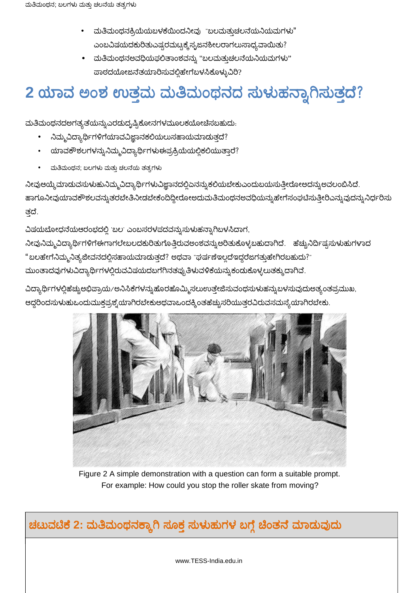- ಮತಿಮಂಥನಕ್ರಿಯೆಯಬಳಕೆಯಿಂದನೀವು "ಬಲಮತ್ತುಚಲನೆಯನಿಯಮಗಳು" ಎಂಬವಿಷಯದಕುರಿತುಎಷ್ಟರಮಟ್ರಕ್ಕೆ ಸೃಜನಶೀಲರಾಗಲುಸಾಧ್ಯವಾಯಿತು?
- ಮತಿಮಂಥನಅವಧಿಯಫಲಿತಾಂಶವನ್ನು "ಬಲಮತ್ತುಚಲನೆಯನಿಯಮಗಳು" ಪಾಠದಯೋಜನೆತಯಾರಿಸುವಲ್ಲಿಹೇಗೆಬಳಸಿಕೊಳ್ಳುವಿರಿ?

## 2 ಯಾದ ಅಂಶ ಉತ್ತಮ ಮತಿಮಂಥನದ ಸುಳುಹನ್ನಾಗಿಸುತ್ತದೆ?

ಮತಿಮಂಥನದಅಗತ್ಯತೆಯನ್ನುಎರಡುದ್ಭಷ್ಟಿಕೋನಗಳಮೂಲಕಯೋಚಿಸಬಹುದು:

- ನಿಮ್ಮವಿದ್ಯಾರ್ಥಿಗಳಿಗೆಯಾವವಿಜ್ಞಾನಕಲಿಯಲುಸಹಾಯಮಾಡುತ್ತದೆ?
- ಯಾವಕೌಶಲಗಳನ್ನುನಿಮ್ಮವಿದ್ಯಾರ್ಥಿಗಳುಈಪ್ರಕ್ರಿಯೆಯಲ್ಲಿಕಲಿಯುತ್ತಾರೆ?
- ಮತಿಮಂಥನ; ಬಲಗಳು ಮತ್ತು ಚಲನೆಯ ತತ್ವಗಳು

ನೀವುಆಯ್ಕೆ ಮಾಡುವಸುಳುಹುನಿಮ್ಮವಿದ್ಯಾರ್ಥಿಗಳುವಿಜ್ಞಾನದಲ್ಲಿ ಏನನ್ನು ಕಲಿಯಬೇಕುಎಂದುಬಯಸುತ್ತೀರೋಅದನ್ನು ಅವಲಂಬಿಸಿದೆ. ಹಾಗೂನೀವುಯಾವಕೌಶಲವನ್ನುತರಬೇತಿನೀಡಬೇಕೆಂದಿದ್ದೀರೋಅದುಮತಿಮಂಥನಅವಧಿಯನ್ನುಹೇಗೆಸಂಘಟಿಸುತ್ತೀರಿಎನ್ನುವುದನ್ನುನಿರ್ಧರಿಸು ತದೆ.

ವಿಷಯಬೋಧನೆಯಆರಂಭದಲ್ಲಿ 'ಬಲ' ಎಂಬಸರಳಪದವನ್ನುಸುಳುಹನ್ನಾಗಿಬಳಸಿದಾಗ, ನೀವುನಿಮ್ಮವಿದ್ಯಾರ್ಥಿಗಳಿಗೆಈಗಾಗಲೇಬಲದಕುರಿತುಗೊತ್ತಿರುವಅಂಶವನ್ನು ಅರಿತುಕೊಳ್ಳಬಹುದಾಗಿದೆ. ಹೆಚ್ಚುನಿರ್ದಿಷ್ಟಸುಳುಹುಗಳಾದ "ಬಲಹೇಗೆನಿಮ್ಮನಿತ್ಯಜೀವನದಲ್ಲಿಸಹಾಯಮಾಡುತ್ತದೆ? ಅಥವಾ "ಘರ್ಷಣೆಇಲ್ಲದೆಇದ್ದರೆಜಗತ್ತುಹೇಗಿರಬಹುದು?"

ಮುಂತಾದವುಗಳುವಿದ್ಯಾರ್ಥಿಗಳಲ್ಲಿರುವವಿಷಯದಬಗೆಗಿನತಪ್ಪುತಿಳುವಳಿಕೆಯನ್ನುಕಂಡುಕೊಳ್ಳಲುತಕ್ಕುದಾಗಿವೆ.

ವಿದ್ಯಾರ್ಥಿಗಳಲ್ಲಿಹೆಚ್ಚುಅಭಿಪ್ರಾಯ/ಅನಿಸಿಕೆಗಳನ್ನುಹೊರಹೊಮ್ಮಿಸಲುಉತ್ತೇಜಿಸುವಂಥಸುಳುಹನ್ನುಬಳಸುವುದುಅತ್ಯಂತಪ್ರಮುಖ, ಆದ್ದರಿಂದಸುಳುಹುಒಂದುಮುಕ್ತಪ್ರಶ್ನೆಯಾಗಿರಬೇಕುಅಥವಾಒಂದಕ್ಕಿಂತಹೆಚ್ಚುಸರಿಯುತ್ತರವಿರುವಸಮಸ್ಯೆಯಾಗಿರಬೇಕು.



Figure 2 A simple demonstration with a question can form a suitable prompt. For example: How could you stop the roller skate from moving?

ಚಟುವಟಿಕೆ 2: ಮತಿಮಂಥನಕ್ಕಾಗಿ ಸೂಕ್ತ ಸುಳುಹುಗಳ ಬಗ್ಗೆ ಚಿಂತನೆ ಮಾಡುವುದು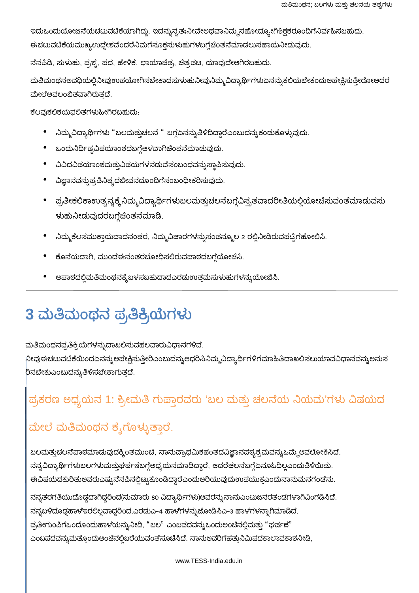ಇದುಒಂದುಯೋಜನೆಯಚಟುವಟಿಕೆಯಾಗಿದ್ದು, ಇದನ್ನುಸ್ವತಃನೀವೇಅಥವಾನಿಮ್ಮಸಹೋದ್ಯೋಗಿಶಿಕ್ಷಕರೂಂದಿಗೆನಿರ್ವಹಿಸಬಹುದು. ಈಚಟುವಟಿಕೆಯಮುಖ್ಯಉದ್ದೇಶವೆಂದರೆನಿಮಗೆಸೂಕ್ತಸುಳುಹುಗಳಬಗ್ಗೆಚಿಂತನೆಮಾಡಲುಸಹಾಯನೀಡುವುದು.

ನೆನಪಿಡಿ, ಸುಳುಹು, ಪ್ರಶ್ನೆ, ಪದ, ಹೇಳಿಕೆ, ಛಾಯಾಚಿತ್ರ, ಚಿತ್ರಪಟ, ಯಾವುದೇಆಗಿರಬಹುದು.

ಮತಿಮಂಥನಅವಧಿಯಲ್ಲಿನೀವುಉಪಯೋಗಿಸಬೇಕಾದಸುಳುಹುನೀವುನಿಮ್ಮವಿದ್ಯಾರ್ಥಿಗಳುಏನನ್ನುಕಲಿಯಬೇಕೆಂದುಅಪೇಕ್ಷಿಸುತ್ತೀರೋಅದರ ಮೇಲೆಅವಲಂಬಿತವಾಗಿರುತ್ತದೆ.

ಕೆಲವುಕಲಿಕೆಯಫಲಿತಗಳುಹೀಗಿರಬಹುದು:

- ನಿಮ್ಮವಿದ್ಯಾರ್ಥಿಗಳು "ಬಲಮತ್ತುಚಲನೆ " ಬಗ್ಗೆಏನನ್ನುತಿಳಿದಿದ್ದಾರೆಎಂಬುದನ್ನುಕಂಡುಕೊಳ್ಳುವುದು.
- ಒಂದುನಿರ್ದಿಷ್ಟವಿಷಯಾಂಶದಬಗ್ಗೆ ಆಳವಾಗಿಚಿಂತನೆಮಾಡುವುದು.
- ವಿವಿದವಿಷಯಾಂಶಮತ್ತುವಿಷಯಗಳನಡುವೆಸಂಬಂಧವನ್ನುಸ್ಥಾಪಿಸುವುದು.
- ವಿಜ್ಞಾನವನ್ನುಪ್ರತಿನಿತ್ಯದಜೀವನದೊಂದಿಗೆಸಂಬಂಧೀಕರಿಸುವುದು.
- ಪ್ರತೀಕಲಿಕಾಉತ್ಪನ್ನಕ್ಕೆನಿಮ್ಮವಿದ್ಯಾರ್ಥಿಗಳುಬಲಮತ್ತುಚಲನೆಬಗ್ಗೆವಿಸ್ತೃತವಾದರೀತಿಯಲ್ಲಿಯೋಚಿಸುವಂತೆಮಾಡುವಸು ಳುಹುನೀಡುವುದರಬಗ್ಗೆಚೆಂತನೆಮಾಡಿ.
- ನಿಮ್ಮಕೆಲಸಮುಕ್ತಾಯವಾದನಂತರ, ನಿಮ್ಮವಿಚಾರಗಳನ್ನುಸಂಪನ್ಮೂಲ 2 ರಲ್ಲಿನೀಡಿರುವಪಟ್ಟಿಗೆಹೋಲಿಸಿ.
- ಕೊನೆಯದಾಗಿ, ಮುಂದೆಈನಂತರಬೋಧಿಸಲಿರುವಪಾಠದಬಗ್ಗೆಯೋಚಿಸಿ.
- ಿಆಪಾಠದಲ್ಲಿಮತಿಮಂಥನಕ್ಕೆಬಳಸಬಹುದಾದಎರದುಉತ್ತಮಸುಳುಹುಗಳನ್ನುಯೋಜಿಸಿ.

## 3 ಮತಿಮಂಥನ ಪ್ರತಿಕ್ರಿಯೆಗಳು

#### ಮತಿಮಂಥನಪ್ರತಿಕ್ರಿಯೆಗಳನ್ನುದಾಖಲಿಸುವಹಲವಾರುವಿಧಾನಗಳಿವೆ.

<mark>ನೀವುಈಚಟುವಟಿಕೆಯಿಂದ</mark>ುನನ್ನುಅಪೇಕ್ಷಿಸುತ್ತೀರಿಎಂಬುದನ್ನುಆಧರಿಸಿನಿಮ್ಮವಿದ್ಯಾರ್ಥಿಗಳಿಗೆಮಾಹಿತಿದಾಖಲಿಸಲುಯಾವವಿಧಾನವನ್ನುಅನುಸ ರಿಸಬೇಕುಎಂಬುದನ್ನು ತಿಳಿಸಬೇಕಾಗುತ್ತದೆ.

#### ಪ್ರಕರಣ ಅಧ್ಯಯನ 1: ಶ್ರೀಮತಿ ಗುಪ್ತಾರವರು 'ಬಲ ಮತ್ತು ಚಲನೆಯ ನಿಯಮ'ಗಳು ವಿಷಯದ

#### ಮೇಲೆ ಮತಿಮಂಥನ ಕ್ಯೆಗೊಳ್ಳುತ್ತಾರೆ.

ಬಲದುತ್ತುಚಲನೆಪಾಠಮಾಡುವುದಕ್ಕಿಂತಮುಂಚೆ, ನಾನುಪ್ರಾಥಮಿಕಹಂತದವಿಜ್ಞಾನಪಠ್ಯಕ್ರಮವನ್ನುಒಮ್ಮೆಅವಲೋಕಿಸಿದೆ. ನನ್ನವಿದ್ಯಾರ್ಥಿಗಳುಬಲಗಳುಮತ್ತುಘರ್ಷಣೆಬಗ್ಗೆಅಧ್ಯಯನಮಾಡಿದ್ದಾರೆ, ಆದರೆಚಲನೆಬಗ್ಗೆಏನೂಓದಿಲ್ಲಎಂದುತಿಳಿಯಿತು. ಈವಿಷಯದಕುರಿತುಅವರುಎಷ್ಟುನೆನಪಿನಲ್ಲಿಟ್ಟುಕೊಂಡಿದ್ದಾರೆಎಂದುಅರಿಯುವುದುಉಪಯುಕ್ತಎಂದುನಾನುಮನಗಂಡೆನು. ನನ್ನತರಗತಿಯುದೊಡ್ಡದಾಗಿದ್ದರಿಂದ(ಸುಮಾರು 80 ವಿದ್ಯಾರ್ಥಿಗಳು)ಅವರನ್ನುನಾನುಎಂಟುಜನರತಂಡಗಳಾಗಿವಿಂಗಡಿಸಿದೆ. ನನ್ನಬಳಿದೊಡ್ಡಹಾಳೆಇರಲಿಲ್ಲವಾದ್ದರಿಂದ,ಎರಡುಎ-4 ಹಾಳೆಗಳನ್ನುಜೋಡಿಸಿಎ-3 ಹಾಳೆಗಳನ್ನಾಗಿಮಾಡಿದೆ. ಪ್ರತೀಗುಂಪಿಗೆಒಂದೊಂದುಹಾಳೆಯನ್ನುನೀಡಿ, "ಬಲ" ಎಂಬಪದವನ್ನುಒಂದುಅಂಚಿನಲ್ಲಿಮತ್ತು "ಘರ್ಷಣೆ" ಎಂಬಪದವನ್ನುಮತ್ತೊಂದುಅಂಚಿನಲ್ಲಿಬರೆಯುವಂತೆಸೂಚಿಸಿದೆ. ನಾನುಅವರಿಗೆಹತ್ತುನಿಮಿಷದಕಾಲಾವಕಾಶನೀಡಿ,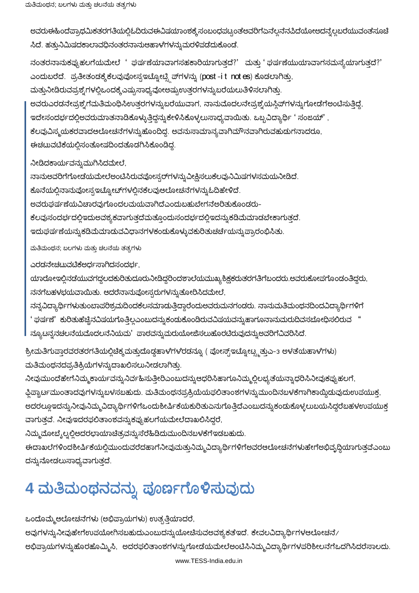ಅವರುಈಹಿಂದೆಪ್ರಾಥಮಿಕತರಗತಿಯಲ್ಲಿಓದಿರುವಈವಿಷಯಾಂಶಕ್ಕೆ ಸಂಬಂಧಪಟ್ರಂತೆಅವರಿಗೆಏನೆಲ್ಲನೆನಪಿದೆಯೋಅದನ್ನೆಲ್ಲಬರೆಯುವಂತೆಸೂಚಿ ಸಿದೆ. ಹತ್ತುನಿಮಿಷದಕಾಲಾವಧಿನಂತರನಾನುಆಹಾಳೆಗಳನ್ನುಮರಳಿಪಡೆದುಕೊಂಡೆ.

ನಂತರನಾನುಕಪ್ಪುಹಲಗೆಯಮೇಲೆ ' ಘರ್ಷಣೆಯಾವಾಗಸಹಕಾರಿಯಾಗುತ್ತದೆ?' ಮತ್ತು 'ಘರ್ಷಣೆಯುಯಾವಾಗಸಮಸ್ಯೆಯಾಗುತ್ತದೆ?' ಎಂದುಬರೆದೆ. ಪ್ರತೀತಂಡಕ್ಕೆಕೆಲವುಪೋಸ್ಸಇಟ್ನೋಟ್ಸಿ ಪ್ಗಳನ್ನು (post -i t not es) ಕೊಡಲಾಗಿತ್ತು, ಮತ್ತುನೀಡಿರುವಪ್ರಶ್ನೆಗಳಲ್ಲಿಒಂದಕ್ಕೆ ಎಷ್ಟುಸಾಧ್ಯವೋಅಷ್ಟುಉತ್ತರಗಳನ್ನುಬರೆಯಲುತಿಳಿಸಲಾಗಿತ್ತು. ಅವರುಎರಡನೇಪ್ರಶ್ನೆಗೆಮತಿಮಂಥಿಸಿಉತ್ತರಗಳನ್ನುಬರೆಯುವಾಗ, ನಾನುಮೊದಲನೇಪ್ರಶ್ನೆಯಸ್ಥಿಪ್ಗಗಳನ್ನುಗೋಡೆಗೆಅಂಟಿಸುತ್ತಿದ್ದೆ, ಇದೇಸಂದರ್ಭದಲ್ಲಿಅವರುಮಾತನಾಡಿಕೊಳ್ಳುತ್ತಿದ್ದನ್ನುಕೇಳಿಸಿಕೊಳ್ಳಲುಸಾಧ್ಯವಾಯಿತು. ಒಬ್ಬವಿದ್ಯಾರ್ಥಿ ' ಸಂಜಯ್' , ಕೆಲವುವಿಸ್ಮಯಕರವಾದಆಲೋಚನೆಗಳನ್ನುಹೊಂದಿದ್ದ. ಅವನುಸಾಮಾನ್ಯವಾಗಿಮೌನವಾಗಿರುವಹುಡುಗನಾದರೂ, ಈಚಟುವಟಿಕೆಯಲ್ಲಿಸಂತೋಷದಿಂದತೊಡಗಿಸಿಕೊಂಡಿದ.

ನೀಡಿದಕಾರ್ಯವನ್ನುಮುಗಿಸಿದಮೇಲೆ,

ನಾನುಅವರಿಗೆಗೋಡೆಯಮೇಲೆಅಂಟಿಸಿರುವಪೋಸ್ಟರ್ಗಳನ್ನುವೀಕ್ಷಿಸಲುಕೆಲವುನಿಮಿಷಗಳಸಮಯನೀಡಿದೆ. ಕೊನೆಯಲ್ಲಿನಾನುಪೋಸ್ರಇಟ್ನೋಟ್ಗಳಲ್ಲಿನಕೆಲವುಆಲೋಚನೆಗಳನ್ನುಓದಿಹೇಳಿದೆ. ಅವರುಘರ್ಷಣೆಯವಿಚಾರವುಗೊಂದಲಮಯವಾಗಿದೆಎಂದುಬಹುಬೇಗನೆಅರಿತುಕೊಂಡರು-ಕೆಲವುಸಂದರ್ಭದಲ್ಲಿಇದುಅವಶ್ಯಕವಾಗುತ್ತದೆಮತ್ತೊಂದುಸಂದರ್ಭದಲ್ಲಿಇದನ್ನುಕಡಿಮೆಮಾಡಬೇಕಾಗುತ್ತದೆ. ಇದುಘರ್ಷಣೆಯನ್ನುಕಡಿಮೆಮಾಡುವವಿಧಾನಗಳಕಂಡುಕೊಳ್ಳುವಕುರಿತುಚರ್ಚೆಯನ್ನುಪ್ರಾರಂಭಿಸಿತು.

ಮತಿಮಂಥನ; ಬಲಗಳು ಮತ್ತು ಚಲನೆಯ ತತ್ವಗಳು

ಎರಡನೇಚಟುವಟಿಕೆಅರ್ಧಸಾಗಿದಸಂದರ್ಭ,

ಯಾರೋಇಲ್ಲಿನಡೆಯುವಗದ್ದಲದಕುರಿತುದೂರುನೀಡಿದ್ದರಿಂದಶಾಲೆಯಮುಖ್ಯಶಿಕ್ಷಕರುತರಗತಿಗೆಬಂದರು.ಅವರುಕೋಪಗೊಂಡಂತಿದ್ದರು, .ನನಗೆಬಹಳಭಯವಾಯಿತು. ಆದರೆನಾನುಪೋಸ್ಸರುಗಳನ್ನುತೋರಿಸಿದಮೇಲೆ,

ನನ್ನವಿದ್ಯಾರ್ಥಿಗಳುತುಂಬಾಪರಿಶ್ರಮದಿಂದಕೆಲಸಮಾಡುತ್ತಿದ್ದಾರೆಂದುಅವರುಮನಗಂಡರು. ನಾನುಮತಿಮಂಥನದಿಂದವಿದ್ಯಾರ್ಥಿಗಳಿಗೆ

' ಘರ್ಷಣೆ' ಕುರಿತುಹೆಚ್ಚಿನವಿಷಯಗೊತ್ತಿಲ್ಲಎಂಬುದನ್ನುಕಂಡುಕೊಂಡಿರುವವಿಷಯವನ್ನುಹಾಗೂನಾನುಮರುದಿವಸಬೋಧಿಸಲಿರುವ " ನ್ಯೂಟನ್ನನಚಲನೆಯದೊದಲನೆನಿಯಮ' ಪಾಠವನ್ನುಮರುಯೋಜಿಸಲುಹೊರಟಿರುವುದನ್ನುಅವರಿಗೆವಿವರಿಸಿದೆ.

ಶ್ರೀದುತಿಗುಪ್ತಾರವರತರಗತಿಯಲ್ಲಿಚಿಕ್ಕ ಮತ್ತುದೊಡ್ಡಹಾಳೆಗಳೆರಡನ್ನೂ (ಪೋಸ್ಟ್ ಇಟ್ನೋಟ್ಸ್ಮತ್ತುಎ-3 ಅಳತೆಯಹಾಳೆಗಳು) ಮತಿಮಂಥನದಪ್ರತಿಕ್ರಿಯೆಗಳನ್ನುದಾಖಲಿಸಲುನೀಡಲಾಗಿತ್ತು.

ನೀವುಮುಂದೆಹೇಗೆನಿಮ್ಮಕಾರ್ಯವನ್ನುನಿರ್ವಹಿಸುತ್ತೀರಿಎಂಬುದನ್ನು ಆಧರಿಸಿಹಾಗೂನಿಮ್ಮಲ್ಲಿಲಭ್ಯತೆಯನ್ನಾಧರಿಸಿನೀವುಕಪ್ಪುಹಲಗೆ, ಫ್ಲಿಪ್ಬಾರ್ಟಮುಂತಾದವುಗಳನ್ನುಬಳಸಬಹುದು. ಮತಿಮಂಥನಪ್ರಕ್ರಿಯೆಯಫಲಿತಾಂಶಗಳನ್ನುಮುಂದಿನಬಳಕೆಗಾಗಿಕಾಯ್ದಿಡುವುದುಉಪಯುಕ್ತ, ಅದರಲ್ಲೂ ಇದನ್ನು ನೀವುನಿಮ್ಮ ವಿದ್ಯಾರ್ಥಿಗಳಿಗೆಒಂದುಶೀರ್ಷಿಕೆಯಕುರಿತುಏನುಗೊತ್ತಿದೆಎಂಬುದನ್ನು ಕಂಡುಕೊಳ್ಳಲುಬಯಸಿದ್ದರೆಬಹಳಉಪಯುಕ್ತ ವಾಗುತ್ತವೆ. ನೀವುಇದರಫಲಿತಾಂಶವನ್ನುಕಪ್ಪುಹಲಗೆಯಮೇಲೆದಾಖಲಿಸಿದ್ದರೆ,

ನಿಮ್ಮದೋಬ್ಯೆಲ್ನಲ್ಲಿಅದರಛಾಯಾಚಿತ್ರವನ್ನುಸೆರೆಹಿಡಿದುಮುಂದಿನಬಳಕೆಗೆಇಡಬಹುದು.

ಈದಾಖಲೆಗಳಿಂದಶೀರ್ಷಿಕೆಯಲ್ಲಿಮುಂದುವರೆದಹಾಗೆನೀವುಮತ್ತುನಿಮ್ಮವಿದ್ಯಾರ್ಥಿಗಳಿಗೆಅವರಆಲೋಚನೆಗಳುಹೇಗೆಅಭಿವೃದ್ಧಿಯಾಗುತ್ತವೆಎಂಬು ದನ್ನುನೋಡಲುಸಾಧ್ಯವಾಗುತ್ತದೆ.

## 4 ಮತಿಮಂಥನವನ್ನು ಪೂರ್ಣಗೊಳಿಸುವುದು

ಒಂದೊಮ್ಮೆಆಲೋಚನೆಗಳು (ಅಭಿಪ್ರಾಯಗಳು) ಉತ್ಪತ್ತಿಯಾದರೆ,

ಅವುಗಳನ್ನುನೀವುಹೇಗೆಉಪಯೋಗಿಸಬಹುದುಎಂಬುದನ್ನುಯೋಚಿಸುವಅವಶ್ಯಕತೆಇದೆ. ಕೇವಲವಿದ್ಯಾರ್ಥಿಗಳಆಲೋಚನೆ/

ಅಭಿಪ್ರಾಯಗಳನ್ನುಹೊರಹೊಮ್ಮಿಸಿ, ಅದರಫಲಿತಾಂಶಗಳನ್ನುಗೋಡೆಯಮೇಲೆಅಂಟಿಸಿನಿಮ್ಮವಿದ್ಯಾರ್ಥಿಗಳಪರಿಶೀಲನೆಗೆಒದಗಿಸಿದರೆಸಾಲದು.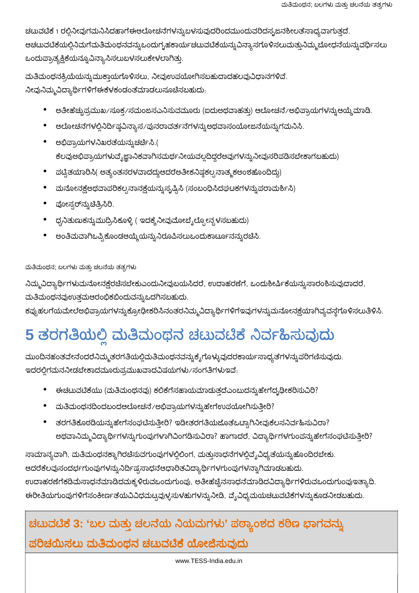ಚಟುವಟಿಕೆ 1 ರಲ್ಲಿನೀವುಗಮನಿಸಿದಹಾಗೆಈಆಲೋಚನೆಗಳನ್ನುಬಳಸುವುದರಿಂದಮುಂದುವರಿದಸ್ಳಜನಶೀಲತೆಸಾಧ್ಯವಾಗುತ್ತದೆ. ಆಚಟುವಟಿಕೆಯಲ್ಲಿನಿಮಗೆಮತಿಮಂಥನವನ್ನುಒಂದುಗೃಹಕಾರ್ಯಚಟುವಟಿಕೆಯನ್ನುವಿನ್ಯಾಸಗೊಳಿಸಲುಮತ್ತುನಿಮ್ಮಬೋಧನೆಯನ್ನುವರ್ಧಿಸಲು ಒಂದುಪ್ರಾತ್ಯಕ್ಷಿಕೆಯನ್ನೂವಿನ್ಯಾಸಿಸಲುಬಳಸಲುಕೇಳಲಾಗಿತ್ತು.

ಮತಿಮಂಥನಕ್ರಿಯೆಯನ್ನುಮುಕ್ತಾಯಗೊಳಿಸಲು, ನೀವುಉಪಯೋಗಿಸಬಹುದಾದಹಲವುವಿಧಾನಗಳಿವೆ. ನೀವುನಿಮ್ಮವಿದ್ಯಾರ್ಥಿಗಳಿಗೆಈಕೆಳಕಂಡಂತೆಮಾಡಲುಸೂಚಿಸಬಹುದು:

- ಅತೀಹೆಚ್ಚುಪ್ರಮುಖ/ಸೂಕ್ರ/ಸಮಂಜಸಎನಿಸುವಮೂರು (ಐದುಅಥವಾಹತ್ತು) ಆಲೋಚನೆ/ಅಭಿಪ್ರಾಯಗಳನ್ನುಆಯ್ಕೆಮಾಡಿ.
- ಆಲೋಚನೆಗಳಲ್ಲಿನಿರ್ದಿಷ್ಠವಿನ್ಯಾಸ∕ಪುನರಾವರ್ತನೆಗಳನ್ನುಅಥವಾಸಂಯೋಜನೆಯನ್ನುಗಮನಿಸಿ.
- ಅಭಿಪ್ರಾಯಗಳನಿಖರತೆಯನ್ನುಚರ್ಚಿಸಿ.( ಕೆಲವುಅಭಿಪ್ರಾಯಗಳುವ್ಯೆಜ್ಞಾನಿಕವಾಗಿಸಮರ್ಥನೀಯವಲ್ಲದಿದ್ದರೆಅವುಗಳನ್ನುನೀವುಸರಿಪಡಿಸಬೇಕಾಗಬಹುದು)
- ಪಟ್ಟಿತಯಾರಿಸಿ( ಅತ್ಯಂತಸರಳವಾದದ್ದುಆದರೆಅತೀಕನಿಷ್ಠಕಲ್ಪನಾತ್ಮಕಲಂಶಹೊಂದಿದ್ದು)
- ಮನೋನಕ್ಷೆಅಥವಾಪರಿಕಲ್ಪನಾನಕ್ಷೆಯನ್ನುಸೃಷ್ಟಿಸಿ (ಸಂಬಂಧಿಸಿದಘಟಕಗಳನ್ನುಪರಾಮರ್ಶಿಸಿ)
- ಪೋಸ್ಪರ್ನ್ರುಚಿತ್ರಿಸಿರಿ.
- ಧ್ವನಿತುಣುಕನ್ನುಮುದ್ರಿಸಿಕೂಳ್ಳಿ ( ಇದಕ್ಕೆ ನೀವುದೋಬ್ಯೆಲ್ಫೋನ್ಬಳಸಬಹುದು)
- ಅಂತಿಮವಾಗಿಒಪ್ಪಿಕೊಂಡಆಯ್ಕೆಯನ್ನುನಿರೂಪಿಸಲುಒಂದುಕಾರ್ಟೂನನ್ನುರಚಿಸಿ.

ಮತಿಮಂಥನ; ಬಲಗಳು ಮತ್ತು ಚಲನೆಯ ತತ್ವಗಳು

ನಿಮ್ಮವಿದ್ಯಾರ್ಥಿಗಳುಮನೋನಕ್ಷೆರಚೆಸಬೇಕುಎಂದುನೀವುಬಯಸಿದರೆ, ಉದಾಹರಣೆಗೆ, ಒಂದುಶೀರ್ಷಿಕೆಯನ್ನುಸಾರಂಶಿಸುವುದಾದರೆ, ಮತಿಮಂಥನವುಉತ್ತಮಆರಂಭಿಕಬಿಂದುವನ್ನುಒದಗಿಸಬಹುದು.

ಕಪ್ಪುಹಲಗೆಯಮೇಲೆಅಭಿಪ್ರಾಯಗಳನ್ನುಕ್ರೋಢೀಕರಿಸಿನಂತರನಿಮ್ಮವಿದ್ಯಾರ್ಥಿಗಳಿಗೆಇವುಗಳನ್ನುಮನೋನಕ್ಷೆಯಾಗಿವ್ಯವಸ್ಥೆಗೊಳಿಸಲುತಿಳಿಸಿ.

## 5 ತರಗತಿಯಲ್ಲಿ ಮತಿಮಂಥನ ಚಟುವಟಿಕೆ ನಿರ್ವಹಿಸುವುದು

ಮುಂದಿನಹಂತವೇನೆಂದರೆನಿಮ್ಮತರಗತಿಯಲ್ಲಿಮತಿಮಂಥನವನ್ನುಕ್ಕೆಗೊಳ್ಳುವುದರಕಾರ್ಯಸಾಧ್ಯತೆಗಳನ್ನುಪರಿಗಣಿಸುವುದು. ಇದರಲ್ಲಿಗಮನನೀಡಬೇಕಾದಮೂರುಪ್ರಮುಖವಾದವಿಷಯಗಳು/ಸಂಗತಿಗಳುಇವೆ.

- ಈಚಟುವಟಿಕೆಯು (ಮತಿಮಂಥನವು) ಕಲಿಕೆಗೆಸಹಾಯಮಾಡುತ್ತದೆಎಂಬುದನ್ನುಹೇಗೆದ್ಸಢೀಕರಿಸುವಿರಿ?
- ಮತಿಮಂಥನದಿಂದಬಂದಆಲೋಚನೆ/ಅಭಿಪ್ರಾಯಗಳನ್ನುಹೇಗೆಉಪಯೋಗಿಸುತ್ತೀರಿ?
- ತರಗತಿಕೊಠಡಿಯನ್ನುಹೇಗೆಸಂಘಟಿಸುತ್ತೀರಿ? ಇಡೀತರಗತಿಯಜೊತೆಒಟ್ಟಾಗಿನೀವುಕೆಲಸನಿರ್ವಹಿಸುವಿರಾ? ಅಥವಾನಿಮ್ಮವಿದ್ಯಾರ್ಥಿಗಳನ್ನುಗುಂಪುಗಳಾಗಿವಿಂಗಡಿಸುವಿರಾ? ಹಾಗಾದರೆ, ವಿದ್ಯಾರ್ಥಿಗಳಗುಂಪನ್ನುಹೇಗೆಸಂಘಟಿಸುತ್ತೀರಿ?

ಸಾಮಾನ್ಯವಾಗಿ, ಮತಿಮಂಥನಕ್ಕಾಗಿರಚೆಸುವಗುಂಪುಗಳಲ್ಲಿಲಿಂಗ, ಮತ್ತುಸಾಧನೆಗಳಲ್ಲಿವ್ಯೆವಿಧ್ಯತೆಯನ್ನುಹೊಂದಿರಬೇಕು. ಆದರೆಕೆಲವುಸಂದರ್ಭಗುಂಪುಗಳನ್ನುನಿರ್ದಿಷ್ಟಸಾಧನೆಆಧಾರಿತವಿದ್ಯಾರ್ಥಿಗಳಗುಂಪುಗಳನ್ನಾಗಿಮಾಡಬಹುದು. ಉದಾಹರಣೆಗೆಕಡಿಮೆಸಾಧನೆಮಾಡಿದಮಕ್ಕಳಿರುವಒಂದುಗುಂಪು, ಅತೀಹೆಚ್ಚಿನಸಾಧನೆಮಾಡಿದವಿದ್ಯಾರ್ಥಿಗಳಿರುವಒಂದುಗುಂಪುಇತ್ಯಾದಿ. ಈರೀತಿಯಗುಂಪುಗಳಿಗೆಸಂಕೀರ್ಣತೆಯವಿವಿಧಮಟ್ಟವುಳ್ಳಸುಳಹುಗಳನ್ನುನೀಡಿ, ವೈವಿಧ್ಯಮಯಚಟುವಟಿಕೆಗಳನ್ನುಕೂಡನೀಡಬಹುದು.

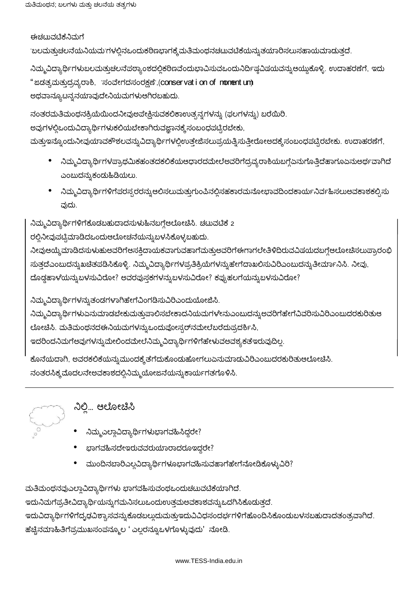ಈಚಟುವಟಿಕೆನಿಮಗೆ

<u>'ಬಲಮತ್ತುಚಲನೆಯನಿಯಮ'ಗಳಲ್ಲಿನಒಂದುಕರಿಣಭಾಗಕ್ಕೆ ಮತಿಮಂಥನಚಟುವಟಿಕೆಯನ್ನುತಯಾರಿಸಲುಸಹಾಯಮಾಡುತ್ತದೆ.</u>

ನಿಮ್ಮವಿದ್ಯಾರ್ಥಿಗಳುಬಲಮತ್ತುಚಲನೆಪಠ್ಯಾಂಶದಲ್ಲಿಕಠಿಣವೆಂದುಭಾವಿಸುವಒಂದುನಿರ್ದಿಷ್ಠವಿಷಯವನ್ನುಆಯ್ದುಕೊಳ್ಳಿ. ಉದಾಹರಣೆಗೆ, ಇದು "ಜಡತ್ವಮತ್ತುದ್ರವ್ಯರಾಶಿ, 'ಸಂವೇಗದಸಂರಕ್ಷಣೆ',(conservation of nomentum) ಅಥವಾನ್ಯೂಟನ್ನನಯಾವುದೇನಿಯಮಗಳುಆಗಿರಬಹುದು.

ನಂತರಮತಿಮಂಥನಕ್ರಿಯೆಯಿಂದನೀವುಅಪೇಕ್ಷಿಸುವಕಲಿಕಾಉತ್ಪನ್ನಗಳನ್ನು (ಫಲಗಳನ್ನು) ಬರೆಯಿರಿ. ಅವುಗಳಲ್ಲಿಒಂದುವಿದ್ಯಾರ್ಥಿಗಳುಕಲಿಯಬೇಕಾಗಿರುವಜ್ಞಾನಕ್ಕೆ ಸಂಬಂಧಪಟ್ರಿರಬೇಕು,

ಮತ್ತುಇನ್ನೊಂದುನೀವುಯಾವಕೌಶಲವನ್ನುವಿದ್ಯಾರ್ಥಿಗಳಲ್ಲಿಉತ್ತೇಜಿಸಲುಪ್ರಯತ್ನಿಸುತ್ತೀರೋಅದಕ್ಕೆ ಸಂಬಂಧಪಟ್ರಿರಬೇಕು. ಉದಾಹರಣೆಗೆ,

- ನಿಮ್ಮವಿದ್ಯಾರ್ಥಿಗಳಪ್ರಾಥಮಿಕಹಂತದಕಲಿಕೆಯಆಧಾರದಮೇಲೆಅವರಿಗೆದ್ರವ್ಯರಾಶಿಯಬಗ್ಗೆಏನುಗೊತ್ತಿದೆಹಾಗೂಏನುಅರ್ಥವಾಗಿದೆ ಎಂಬುದನ್ನುಕಂದುಹಿಡಿಯಲು.
- ನಿಮ್ಮವಿದ್ಯಾರ್ಥಿಗಳಿಗೆಪರಸ್ಪರರನ್ನುಆಲಿಸಲುಮತ್ತುಗುಂಪಿನಲ್ಲಿಸಹಕಾರಮನೋಭಾವದಿಂದಕಾರ್ಯನಿರ್ವಹಿಸಲುಅವಕಾಶಕಲ್ಪಿಸು ವುದು.

ನಿಮ್ಮವಿದ್ಯಾರ್ಥಿಗಳಿಗೆಕೊಡಬಹುದಾದಸುಳುಹಿನಬಗ್ಗೆಆಲೋಚಿಸಿ. ಚಟುವಟಿಕೆ 2 ರಲ್ಲಿನೀವುಪಟ್ಟಿಮಾಡಿದಒಂದುಆಲೋಚನೆಯನ್ನುಬಳಸಿಕೊಳ್ಳಬಹುದು. ನೀವುಆಯ್ಕೆ ಮಾಡಿದಸುಳುಹುಅವರಿಗೆಆಸಕ್ತಿದಾಯಕವಾಗುವಹಾಗೆಮತ್ತುಅವರಿಗೆಈಗಾಗಲೇತಿಳಿದಿರುವವಿಷಯದಬಗ್ಗೆಆಲೋಚಿಸಲುಪ್ರಾರಂಭಿ

ಸುತ್ತದೆಎಂಬುದನ್ನುಖಚಿತಪಡಿಸಿಕೊಳ್ಳಿ. ನಿಮ್ಮವಿದ್ಯಾರ್ಥಿಗಳಪ್ರತಿಕ್ರಿಯೆಗಳನ್ನುಹೇಗೆದಾಖಲಿಸುವಿರಿಎಂಬುದನ್ನುತೀರ್ಮಾನಿಸಿ. ನೀವು, ದೊಡ್ಡಹಾಳೆಯನ್ನುಬಳಸುವಿರೋ? ಅವರಪುಸ್ತಕಗಳನ್ನುಬಳಸುವಿರೋ? ಕಪ್ಪುಹಲಗೆಯನ್ನುಬಳಸುವಿರೋ?

ನಿಮ್ಮವಿದ್ಯಾರ್ಥಿಗಳನ್ನುತಂಡಗಳಾಗಿಹೇಗೆವಿಂಗಡಿಸುವಿರಿಎಂದುಯೋಜಿಸಿ.

ನಿಮ್ಮವಿದ್ಯಾರ್ಥಿಗಳುಏನುಮಾಡಬೇಕುಮತ್ತುಪಾಲಿಸಬೇಕಾದನಿಯಮಗಳೇನುಎಂಬುದನ್ನುಅವರಿಗೆಹೇಗೆವಿವರಿಸುವಿರಿಎಂಬುದರಕುರಿತುಆ ಲೋಚಿಸಿ. ಮತಿಮಂಥನದಈನಿಯಮಗಳನ್ನುಒಂದುಪೋಸ್ಪರ್ನಮೇಲೆಬರೆದುಪ್ರದರ್ಶಿಸಿ,

ಇದರಿಂದನಿಮಗೆಅವುಗಳನ್ನುಮೇಲಿಂದಮೇಲೆನಿಮ್ಮವಿದ್ಯಾರ್ಥಿಗಳಿಗೆಹೇಳುವಅವಶ್ಯಕತೆಇರುವುದಿಲ್ಲ.

ಕೊನೆಯದಾಗಿ, ಅವರಕಲಿಕೆಯನ್ನುಮುಂದಕ್ಕೆ ತೆಗೆದುಕೊಂಡುಹೋಗಲುಏನುಮಾಡುವಿರಿಎಂಬುದರಕುರಿತುಆಲೋಚಿಸಿ. ನಂತರಸಿಕ್ಕ ಮೊದಲನೇಅವಕಾಶದಲ್ಲಿನಿಮ್ಮಯೋಜನೆಯನ್ನುಕಾರ್ಯಗತಗೊಳಿಸಿ.

ನಿಲ್ಲಿ... ಆಲೋಚಿಸಿ

- ನಿಮ್ಮಎಲ್ಲಾವಿದ್ಯಾರ್ಥಿಗಳುಭಾಗವಹಿಸಿದ್ದರೇ?
- ಭಾಗವಹಿಸದೇಇರುವವರುಯಾರಾದರೂಇದ್ದರೇ?
- ಮುಂದಿನಬಾರಿಎಲ್ಲವಿದ್ಯಾರ್ಥಿಗಳೂಭಾಗವಹಿಸುವಹಾಗೆಹೇಗೆನೋಡಿಕೊಳ್ಳುವಿರಿ?

ಮತಿಮಂಥನವುಎಲ್ಲಾವಿದ್ಯಾರ್ಥಿಗಳು ಭಾಗವಹಿಸುವಂಥಒಂದುಚಟುವಟಿಕೆಯಾಗಿದೆ. ಇದುನಿಮಗೆಪ್ರತೀವಿದ್ಯಾರ್ಥಿಯನ್ನುಗಮನಿಸಲುಒಂದುಉತ್ತಮಅವಕಾಶವನ್ನುಒದಗಿಸಿಕೊಡುತ್ತದೆ. ಇದುವಿದ್ಯಾರ್ಥಿಗಳಿಗೆದ್ಸಢವಿಶ್ವಾಸವನ್ನುಕೊಡಬಲ್ಲುದುಮತ್ತುಇದುವಿವಿಧಸಂದರ್ಭಗಳಿಗೆಹೊಂದಿಸಿಕೊಂಡುಬಳಸಬಹುದಾದತಂತ್ರವಾಗಿದೆ. ಹೆಚ್ಚಿನಮಾಹಿತಿಗೆಪ್ರಮುಖಸಂಪನ್ಮೂಲ ' ಎಲ್ಲರನ್ನೂಒಳಗೊಳ್ಳುವುದು' ನೋಡಿ.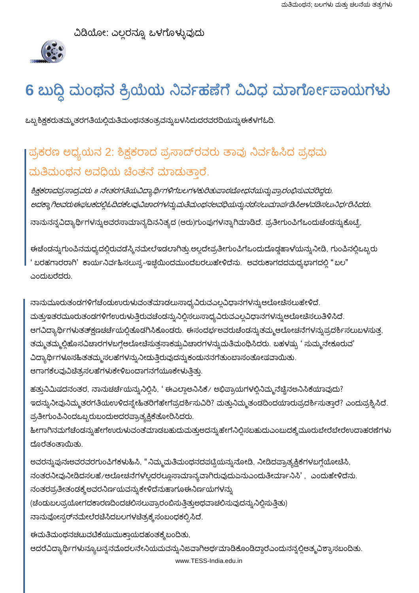ವಿಡಿಯೋ: ಎಲ್ಲರನ್ನೂ ಒಳಗೊಳ್ಳುವುದು



## 6 ಬುದ್ಧಿ ಮಂಥನ ಕ್ರಿಯೆಯ ನಿರ್ವಹಣೆಗೆ ವಿವಿಧ ಮಾರ್ಗೋಪಾಯಗಳು

ಒಬ್ಬ ಶಿಕ್ಷಕರುತಮ್ಮ ತರಗತಿಯಲ್ಲಿಮತಿಮಂಥನತಂತ್ರವನ್ನುಬಳಸಿದುದರವರದಿಯನ್ನು ಈಕೆಳಗೆಓದಿ.

### ಪ್ರಕರಣ ಅಧ್ಯಯನ 2: ಶಿಕ್ಷಕರಾದ ಪ್ರಸಾದ್ರದರು ತಾವು ನಿರ್ವಹಿಸಿದ ಪ್ರಥಮ ಮತಿಮಂಥನ ಅವಧಿಯ ಚಿಂತನೆ ಮಾಡುತಾರೆ.

ಶಿಕ್ಷಕರಾದಪ್ರಸಾದ್ರವರು 8 ನೇತರಗತಿಯವಿದ್ಯಾರ್ಥಿಗಳಿಗೆಬಲಗಳಕುರಿತುಪಾಠಬೋಧನೆಯನ್ನು ಪ್ರಾರಂಭಿಸುವವರಿದ್ದರು. ಅದಕ್ಕಾ ಗಿಅವರುಈಘಟಕದಲ್ಲಿಓದಿದಕೆಲವುವಿಚಾರಗಳನ್ನು ಮತಿಮಂಥನಅವಧಿಯನ್ನು ನಡೆಸಲುಮಾರ್ಪಡಿಸಿಅಳವಡಿಸಲುನಿರ್ಧರಿಸಿದರು. ನಾನುನನ್ನವಿದ್ಯಾರ್ಥಿಗಳನ್ನುಅವರಸಾಮಾನ್ಯದಿನನಿತ್ಯದ (ಆರು)ಗುಂಪುಗಳನ್ನಾಗಿಮಾಡಿದೆ. ಪ್ರತೀಗುಂಪಿಗೆಒಂದುಚೆಂಡನ್ನುಕೊಟ್ರೆ,

ಈಚೆಂಡನ್ನುಗುಂಪಿನಮಧ್ಯದಲ್ಲಿರುವಡೆಸ್ಕಿನಮೇಲೆಇಡಲಾಗಿತ್ತು.ಅಲ್ಲದೇಪ್ರತೀಗುಂಪಿಗೆಒಂದುದೊಡ್ಗಹಾಳೆಯನ್ನುನೀಡಿ, ಗುಂಪಿನಲ್ಲಿಒಬ್ಬರು ಬರಹಗಾರರಾಗಿ' ಕಾರ್ಯನಿರ್ವಹಿಸಲುಸ್ವ-ಇಚ್ಛೆಯಿಂದಮುಂದೆಬರಲುಹೇಳಿದೆನು. ಅವರುಕಾಗದದಮಧ್ಯಭಾಗದಲ್ಲಿ "ಬಲ" ಎಂದುಬರೆದರು.

ನಾನುಮೂರುತಂಡಗಳಿಗೆಚೆಂದುಉರುಳುವಂತೆಮಾಡಲುಸಾಧ್ಯವಿರುವಎಲ್ಲವಿಧಾನಗಳನ್ನುಆಲೋಚಿಸಲುಹೇಳಿದೆ. ಮತ್ತುಇತರಮೂರುತಂಡಗಳಿಗೆಉರುಳುತ್ತಿರುವಚೆಂಡನ್ನುನಿಲ್ಲಿಸಲುಸಾಧ್ಯವಿರುವಎಲ್ಲವಿಧಾನಗಳನ್ನುಆಲೋಚಿಸಲುತಿಳಿಸಿದೆ. ಆಗವಿದ್ಯಾರ್ಥಿಗಳುತತ್ತ್ತ್ವಣಚರ್ಚೆಯಲ್ಲಿತೊಡಗಿಸಿಕೊಂಡರು. ಈಸಂದರ್ಭಅವರುಚೆಂಡನ್ನುತಮ್ಮಆಲೋಚನೆಗಳನ್ನುಪ್ರದರ್ಶಿಸಲುಬಳಸುತ್ರ, ತಮ್ಮತಮ್ಮಲ್ಲಿಹೊಸವಿಚಾರಗಳಬಗ್ಗೆಆಲೋಚಿಸುತ್ತಸಾಕಷ್ಟುವಿಚಾರಗಳನ್ನುಮತಿಮಂಥಿಸಿದರು. ಬಹಳಷ್ಟು ' ಸುಮ್ಮನೇಕೂರುವ' ವಿದ್ಯಾರ್ಥಿಗಳೂಸಹಿತತಮ್ಮ,ಸಲಹೆಗಳನ್ನುನೀಡುತ್ತಿರುವುದನ್ನುಕಂಡುನನಗೆತುಂಬಾಸಂತೋಷವಾಯಿತು. ಆಗಾಗಕೆಲವುವಿಚಿತ್ರಸಲಹೆಗಳುಕೇಳಿಬಂದಾಗನಗೆಯೂಕೇಳುತ್ತಿತ್ತು.

ಹತ್ತುನಿಮಿಷದನಂತರ, ನಾನುಚರ್ಚೆಯನ್ನುನಿಲ್ಲಿಸಿ, ' ಈಎಲ್ಲಾಅನಿಸಿಕೆ⁄ ಅಭಿಪ್ರಾಯಗಳಲ್ಲಿನಿಮ್ಮನೆಚ್ಚಿನಅನಿಸಿಕೆಯಾವುದು? ಇದನ್ನುನೀವುನಿಮ್ಮತರಗತಿಯಉಳಿದಸ್ನೇಹಿತರಿಗೆಹೇಗೆಪ್ರದರ್ಶಿಸುವಿರಿ? ಮತ್ತುನಿಮ್ಮತಂಡದಿಂದಯಾರುಪ್ರದರ್ಶಿಸುತ್ತಾರೆ? ಎಂದುಪ್ರಶ್ನಿಸಿದೆ. ಪ್ರತೀಗುಂಪಿನಿಂದಒಬ್ಬರುಬಂದುಅದರಪ್ರಾತ್ಯಕ್ಷಿಕೆತೋರಿಸಿದರು.

ಹೀಗಾಗಿನಮಗೆಚೆಂಡನ್ನುಹೇಗೆಉರುಳುವಂತೆಮಾಡಬಹುದುಮತ್ತುಅದನ್ನುಹೇಗೆನಿಲ್ಲಿಸಬಹುದುಎಂಬುದಕ್ಕೆ ಮೂರುಬೇರೆಬೇರೆಉದಾಹರಣೆಗಳು ದೊರೆತಂತಾಯಿತು.

ಅವರನ್ನುಪುನಃಅವರವರಗುಂಪಿಗೆಕಳುಹಿಸಿ, "ನಿಮ್ಮಮತಿಮಂಥನದಪಟ್ಟಿಯನ್ನುನೋಡಿ, ನೀಡಿದಪ್ರಾತ್ಯಕ್ಷಿಕೆಗಳಬಗ್ಗೆಯೋಚಿಸಿ, ನಂತರನೀವುನೀಡಿದಸಲಹೆ/ಆಲೋಚನೆಗಳಲ್ಲದರಲ್ಲೂಸಾಮಾನ್ಯವಾಗಿರುವುದುಏನುಎಂದುತೀರ್ಮಾನಿಸಿ', ಎಂದುಹೇಳಿದೆನು. ನಂತರಪ್ರತೀತಂಡಕ್ಕೆ ಅವರನಿರ್ಣಯವನ್ನು ಕೇಳಿದೆನುಹಾಗೂಈನಿರ್ಣಯಗಳನ್ನು (ಚೆಂದುಬಲಪ್ರಯೋಗದಕಾರಣದಿಂದಚಲಿಸಲುಪ್ರಾರಂಬಿಸುತ್ತಿತ್ತುಅಥವಾಚಲಿಸುವುದನ್ನುನಿಲ್ಲಿಸುತ್ತಿತು) ನಾನುಪೋಸ್ಪರ್ನಮೇಲೆರಚಿಸಿದಬಲಗಳಚಿತ್ರಕ್ಕೆ ಸಂಬಂಧಕಲ್ಪಿಸಿದೆ.

ಈಮತಿಮಂಥನಚಟುವಟಿಕೆಯುಮುಕ್ತಾಯದಹಂತಕ್ಕೆ ಬಂದಿತು, ಆದರೆವಿದ್ಯಾರ್ಥಿಗಳುನ್ಯೂಟನ್ನನದೊದಲನೇನಿಯಮವನ್ನುನಿಜವಾಗಿಅರ್ಥಮಾಡಿಕೊಂಡಿದ್ದಾರೆಎಂದುನನ್ನಲ್ಲಿಆತ್ಮ್ರವಿಶ್ವಾಸಬಂದಿತು. www.TESS-India.edu.in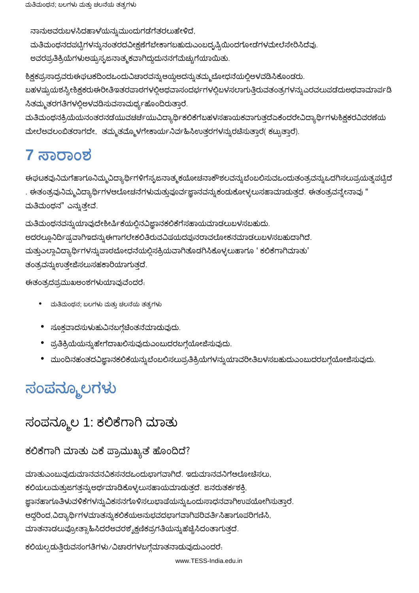ನಾನುಅವರುಬಳಸಿದಹಾಳೆಯನ್ನುಮುಂದುಗಡೆಗೆತರಲುಹೇಳಿದೆ,

-ಮತಿಮಂಥನದಪಟ್ಟಿಗಳನ್ನುನಂತರದವೀಕ್ಷಣೆಗೆಬೇಕಾಗಬಹುದುಎಂಬದ್ಭಷ್ಟಿಯಿಂದಗೋಡೆಗಳಮೇಲೆಸೇರಿಸಿದೆವು. ಅವರಪ್ರತಿಕ್ರಿಯೆಗಳುಅಷ್ಟುಸೃಜನಾತ್ಮಕವಾಗಿದ್ದುದುನನಗೆಮೆಚ್ಚುಗೆಯಾಯಿತು.

<u>ಶಿಕ್ಷಕಪ್ರಸಾದ್ರವರುಈಘಟಕದಿಂದಒಂದುವಿಚಾರವನ್ನುಆಯ್ದಅದನ್ನುತಮ್ಮಬೋಧನೆಯಲ್ಲಿಅಳವಡಿಸಿಕೊಂಡರು.</u> ಬಹಳಷ್ಟುಯಶಸ್ವೀಶಿಕ್ಷಕರುಈರೀತಿಇತರಪಾಠಗಳಲ್ಲಿಅಥವಾಸಂದರ್ಭಗಳಲ್ಲಿಬಳಸಲಾಗುತ್ತಿರುವತಂತ್ರಗಳನ್ನುಎರವಲುಪಡೆದುಅಥವಾಮಾರ್ಪಡಿ ಸಿತಮ್ಮತರಗತಿಗಳಲ್ಲಿಅಳವಡಿಸುವಸಾಮರ್ಥ್ಯಹೊಂದಿರುತ್ತಾರೆ.

ಮತಿಮಂಥನಕ್ರಿಯೆಯನಂತರನಡೆಯುವಚರ್ಚೆಯುವಿದ್ಯಾರ್ಥಿಕಲಿಕೆಗೆಬಹಳಸಹಾಯಕವಾಗುತ್ತದೆಏಕೆಂದರೇವಿದ್ಯಾರ್ಥಿಗಳುಶ್ರಿಕ್ಷಕರವಿವರಣೆಯ ಮೇಲೆಅವಲಂಬಿತರಾಗದೇ, ತಮ್ಮತಮ್ಮೊಳಗೇಕಾರ್ಯನಿರ್ವಹಿಸಿಉತ್ತರಗಳನ್ನುರಚಿಸುತ್ತಾರೆ( ಕಟ್ರುತ್ತಾರೆ).

#### 7 ಸಾರಾಂಶ

ಈಘಟಕವುನಿಮಗೆಹಾಗೂನಿಮ್ಮವಿದ್ಯಾರ್ಥಿಗಳಿಗೆಸ್ಳಜನಾತ್ಮಕಯೋಚನಾಕೌಶಲವನ್ನುಬೆಂಬಲಿಸುವಒಂದುತಂತ್ರವನ್ನುಒದಗಿಸಲುಪ್ರಯತ್ನಪಟ್ಟಿದೆ . ಈತಂತ್ರವುನಿಮ್ಮವಿದ್ಯಾರ್ಥಿಗಳಆಲೋಚನೆಗಳುಮತ್ತುಪೂರ್ವಜ್ಞಾನವನ್ನುಕಂಡುಕೋಳ್ಳಲುಸಹಾಮಾಡುತ್ತದೆ. ಈತಂತ್ರವನ್ನೇನಾವು " ಮತಿಮಂಥನ" ಎನ್ನುತ್ತೇವೆ.

ಮತಿಮಂಥನವನ್ನುಯಾವುದೇಶೀರ್ಷಿಕೆಯಲ್ಲಿನವಿಜ್ಞಾನಕಲಿಕೆಗೆಸಹಾಯಮಾಡಲುಬಳಸಬಹುದು. ಅದರಲ್ಲೂನಿರ್ದಿಷ್ಕವಾಗಿಇದನ್ನುಈಗಾಗಲೇಕಲಿತಿರುವವಿಷಯದಪುನರಾವಲೋಕನಮಾಡಲುಬಳಸಬಹುದಾಗಿದೆ. ಮತ್ತುಎಲ್ಲಾವಿದ್ಯಾರ್ಥಿಗಳನ್ನುಪಾಠಬೋಧನೆಯಲ್ಲಿಸಕ್ರಿಯವಾಗಿತೊಡಗಿಸಿಕೊಳ್ಳಲುಹಾಗೂ ' ಕಲಿಕೆಗಾಗಿಮಾತು' ತಂತ್ರವನ್ನುಉತ್ತೇಜಿಸಲುಸಹಕಾರಿಯಾಗುತ್ತದೆ.

ಈತಂತ್ರದಪ್ರಮುಖಅಂಶಗಳುಯಾಧ್ರುದೆಂದರೆ.

- ಮತಿಮಂಥನ; ಬಲಗಳು ಮತ್ತು ಚಲನೆಯ ತತ್ವಗಳು
- ಸೂಕ್ತವಾದಸುಳುಹುವಿನಬಗ್ಗೆಚೆಂತನೆಮಾಡುವುದು.
- ಪ್ರತಿಕ್ರಿಯೆಯನ್ನುಹೇಗೆದಾಖಲಿಸುವುದುಎಂಬುದರಬಗ್ಗೆಯೋಜಿಸುವುದು.
- ಮುಂದಿನಹಂತದವಿಜ್ಞಾನಕಲಿಕೆಯನ್ನುಬೆಂಬಲಿಸಲುಪ್ರತಿಕ್ರಿಯೆಗಳನ್ನುಯಾವರೀತಿಬಳಸಬಹುದುಎಂಬುದರಬಗ್ಗೆಯೋಜಿಸುವುದು.

## ಸಂಪನ್ಮೂಲಗಳು

#### ಸಂಪನ್ಮೂಲ 1: ಕಲಿಕೆಗಾಗಿ ಮಾತು

#### ಕಲಿಕೆಗಾಗಿ ಮಾತು ಏಕೆ ಪ್ರಾಮುಖ್ಯತೆ ಹೊಂದಿದೆ?

ಮಾತುಎಂಬುಧುದುವಾನವನವಿಕಸನದಒಂದುಬಾಗವಾಗಿದೆ. ಇದುಮಾನವನಿಗೆಆಲೋಚಿಸಲು. ಕಲಿಯಲುಮತ್ತುಜಗತ್ತನ್ನುಅರ್ಥಮಾಡಿಕೊಳ್ಳಲುಸಹಾಯಮಾಡುತ್ತದೆ. ಜನರುತರ್ಕಶಕ್ತಿ, ಜ್ಞಾನಹಾಗೂತಿಳುವಳಿಕೆಗಳನ್ನುವಿಕಸನಗೊಳಿಸಲುಭಾಷೆಯನ್ನುಒಂದುಸಾಧನವಾಗಿಉಪಯೋಗಿಸುತ್ತಾರೆ. ಆದ್ದರಿಂದ,ವಿದ್ಯಾರ್ಥಿಗಳಮಾತನ್ನುಕಲಿಕೆಯಅನುಭವದಭಾಗವಾಗಿಪರಿವರ್ತಿಸಿಹಾಗೂಪರಿಗಣಿಸಿ, ಮಾತನಾಡಲುಪ್ರೋತ್ಸಾಹಿಸಿದರೆಅವರಶ್ಶೆಕ್ಷಣಿಕಪ್ರಗತಿಯನ್ನುಹೆಚ್ಚಿಸಿದಂತಾಗುತ್ತದೆ. ಕಲಿಯಲ್ಪಡುತ್ತಿರುವಸಂಗತಿಗಳು/ವಿಚಾರಗಳಬಗ್ಗೆಮಾತನಾಡುವುದುಎಂದರೆ.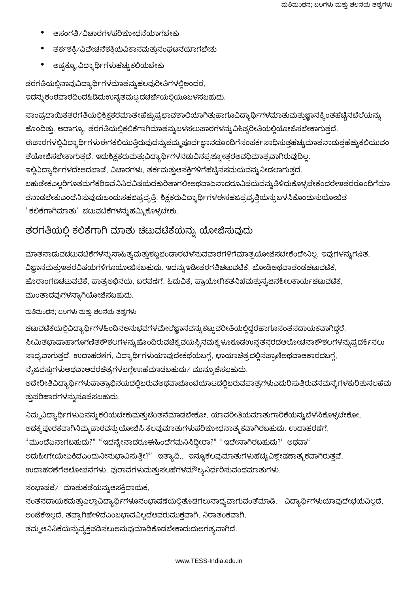- ಆಸಂಗತಿ∕ವಿಚಾರಗಳಪರಿಶೋಧನೆಯಾಗಬೇಕು
- ತರ್ಕಶಕ್ತಿ/ವಿದೇಚನೆಶಕ್ತಿಯವಿಕಾಸಮತ್ತುಸಂಘಟನೆಯಾಗಬೇಕು
- ಅಷ್ರಕ್ಕೂ,ವಿದ್ಯಾರ್ಥಿಗಳುಹೆಚ್ಚುಕಲಿಯಬೇಕು  $\bullet$

ತರಗತಿಯಲ್ಲಿನಾವುವಿದ್ಯಾರ್ಥಿಗಳಮಾತನ್ನುಹಲವುರೀತಿಗಳಲ್ಲಿಅಂದರೆ, ಇದನ್ನುಕಂಠಪಾಠದಿಂದಹಿಡಿದುಉನ್ನತಮಟ್ಟದಚರ್ಚೆಯಲ್ಲಿಯೂಬಳಸಬಹುದು.

ಸಾಂಪ್ರದಾಯಿಕತರಗತಿಯಲ್ಲಿಶಿಕ್ಷಕರಮಾತೇಹೆಚ್ಚುಪ್ರಭಾವಶಾಲಿಯಾಗಿತ್ತುಹಾಗೂವಿದ್ಯಾರ್ಥಿಗಳಮಾತುಮತ್ತುಜ್ಞಾನಕ್ಕಿಂತಹೆಚ್ಚಿನಬೆಲೆಯನ್ನು ಹೊಂದಿತ್ತು. ಆದಾಗ್ಯೂ, ತರಗತಿಯಲ್ಲಿಕಲಿಕೆಗಾಗಿಮಾತನ್ನುಬಳಸಲುಪಾಠಗಳನ್ನುವಿಶಿಷ್ಟರೀತಿಯಲ್ಲಿಯೋಜಿಸಬೇಕಾಗುತ್ತದೆ. ಈಪಾಠಗಳಲ್ಲಿವಿದ್ಯಾರ್ಥಿಗಳುಈಗಕಲಿಯುತ್ತಿರುವುದನ್ನುತಮ್ಮಪೂರ್ವಜ್ಞಾನದೊಂದಿಗೆಸಂಪರ್ಕಸಾಧಿಸುತ್ತಹೆಚ್ಚುಮಾತನಾಡುತ್ತಹೆಚ್ಚುಕಲಿಯುವಂ ತೆಯೋಜಿಸಬೇಕಾಗುತ್ತದೆ. ಇದುಶಿಕ್ಷಕರುಮತ್ತುವಿದ್ಯಾರ್ಥಿಗಳನಡುವಿನಪ್ರಶ್ನೋತ್ತರಅವಧಿಮಾತ್ರವಾಗಿರುವುದಿಲ್ಲ. ಇಲ್ಲಿವಿದ್ಯಾರ್ಥಿಗಳದೇಆದಭಾಷೆ, ವಿಚಾರಗಳು, ತರ್ಕಮತ್ತುಆಸಕ್ತಿಗಳಿಗೆಹೆಚ್ಚಿನಸಮಯವನ್ನುನೀಡಲಾಗುತ್ತದೆ. ಬಹುತೇಕಎಲ್ಲರಿಗೂತಮಗೆಕಠಿಣವೆನಿಸಿದವಿಷಯದಕುರಿತಾಗಲೀಅಥವಾಏನಾದರೂವಿಷಯವನ್ನುತಿಳಿದುಕೊಳ್ಳಬೇಕೆಂದರೇಇತರರೊಂದಿಗೆಮಾ ತನಾಡಬೇಕುಎಂದೆನಿಸುವುದುಒಂದುಸಹಜಪ್ರವೃತ್ತಿ. ಶಿಕ್ಷಕರುವಿದ್ಯಾರ್ಥಿಗಳಈಸಹಜಪ್ರವೃತ್ತಿಯನ್ನುಬಳಸಿಕೊಂಡುಸುಯೋಜಿತ ' ಕಲಿಕೆಗಾಗಿಮಾತು' ಚಟುವಟಿಕೆಗಳನ್ನುಹಮ್ಮಿಕೊಳ್ಳಬೇಕು.

#### ತರಗತಿಯಲ್ಲಿ ಕಲಿಕೆಗಾಗಿ ಮಾತು ಚಟುವಟಿಕೆಯನ್ನು ಯೋಜಿಸುವುದು

ಮಾತನಾಡುವಚಟುವಟಿಕೆಗಳನ್ನುಸಾಹಿತ್ಯಮತ್ತುಶಬ್ಧಭಂಡಾರಬೆಳೆಸುವಪಾಠಗಳಿಗೆಮಾತ್ರಯೋಜಿಸಬೇಕೆಂದೇನಿಲ್ಲ, ಇವುಗಳನ್ನುಗಣಿತ, ವಿಜ್ಞಾನಮತ್ತುಇತರವಿಷಯಗಳಿಗೂಯೋಜಿಸಬಹುದು. ಇದನ್ನುಇಡೀತರಗತಿಚಟುವಟಿಕೆ, ಜೋಡಿಅಥವಾತಂಡಚಟುವಟಿಕೆ, ಹೊರಾಂಗಣಚಟುವಟಿಕೆ, ಪಾತ್ರಅಭಿನಯ, ಬರವಣಿಗೆ, ಓದುವಿಕೆ, ಪ್ರಾಯೋಗಿಕತನಿಖೆಮತ್ತುಸ್ಸಜನಶೀಲಕಾರ್ಯಚಟುವಟಿಕೆ, ಮುಂತಾದವುಗಳನ್ನಾಗಿಯೋಜಿಸಬಹುದು.

ಮತಿಮಂಥನ; ಬಲಗಳು ಮತ್ತು ಚಲನೆಯ ತತ್ವಗಳು

ಚಟುವಟಿಕೆಯಲ್ಲಿವಿದ್ಯಾರ್ಥಿಗಳಹಿಂದಿನಅನುಭವಗಳಮೇಲೆಜ್ಞಾನವನ್ನುಕಟ್ಟುವರೀತಿಯಲ್ಲಿದ್ದರೆಹಾಗೂಸಂತಸದಾಯಕವಾಗಿದ್ದರೆ, ಸೀಮಿತಭಾಷಾಹಾಗೂಗಣಿತಕೌಶಲಗಳನ್ನುಹೊಂದಿರುವಚಿಕ್ಕವಯಸ್ಸಿನಮಕ್ಕಳೂಕೂಡಉನ್ನತಸ್ತರದಆಲೋಚನಾಕೌಶಲಗಳನ್ನುಪ್ರದರ್ಶಿಸಲು ಸಾಧ್ಯವಾಗುತ್ತದೆ. ಉದಾಹರಣೆಗೆ, ವಿದ್ಯಾರ್ಥಿಗಳುಯಾವುದೇಕಥೆಯಬಗ್ಗೆ, ಛಾಯಾಚಿತ್ರದಲ್ಲಿನಪ್ರಾಣಿಅಥವಾಆಕಾರದಬಗ್ಗೆ, ನೈಜವಸ್ತುಗಳುಅಥವಾಅದರಚಿತ್ರಗಳಬಗ್ಗೆಉಾಹೆಮಾಡಬಹುದು/ ಮುನ್ಸೂಚಿಸಬಹುದು.

ಅದೇರೀತಿವಿದ್ಯಾರ್ಥಿಗಳುಪಾತ್ರಾಭಿನಯದಲ್ಲಿಬರುವಅಥವಾಬೊಂಬೆಯಾಟದಲ್ಲಿಬರುವಪಾತ್ರಗಳುಎದುರಿಸುತ್ತಿರುವಸಮಸ್ಯೆಗಳಕುರಿತುಸಲಹೆಮ ತ್ತುಪರಿಹಾರಗಳನ್ನುಸೂಚಿಸಬಹುದು.

ನಿಮ್ಮವಿದ್ಯಾರ್ಥಿಗಳುಏನನ್ನುಕಲಿಯಬೇಕುಮತ್ತುಚಿಂತನೆಮಾಡಬೇಕೋ, ಯಾವರೀತಿಯಮಾತುಗಾರಿಕೆಯನ್ನುಬೆಳಸಿಕೊಳ್ಳಬೇಕೋ, ಅದಕ್ಕೆ ಪೂರಕವಾಗಿನಿಮ್ಮಪಾಠವನ್ನುಯೋಜಿಸಿ.ಕೆಲವುಮಾತುಗಳುಪರಿಶೋಧನಾತ್ಮಕವಾಗಿರಬಹುದು. ಉದಾಹರಣೆಗೆ, "ಮುಂದೆಏನಾಗಬಹುದು?" "ಇದನ್ನೇನಾದರೂಈಹಿಂದೆಗಮನಿಸಿದ್ದೀರಾ?" ' ಇದೇನಾಗಿರಬಹುದು?' ಅಥವಾ" ಅದುಹೀಗೇಯೇದಿಕಿದೆಎಂದುನೀನುಭಾವಿಸುತ್ತೀ?" ಇತ್ಯಾದಿ,. ಇನ್ನೂಕೆಲವುಮಾತುಗಳುಹೆಚ್ಚುವಿಶ್ಲೇಷಣಾತ್ಮಕವಾಗಿರುತ್ತವೆ, ಉದಾಹರಣೆಗೆಆಲೋಚನೆಗಳು, ಪುರಾವೆಗಳುಮತ್ತುಸಲಹೆಗಳಮೌಲ್ಯನಿರ್ಧರಿಸುವಂಥಮಾತುಗಳು.

ಸಂಭಾಷಣೆ/ ಮಾತುಕತೆಯನ್ನುಆಸಕ್ತಿದಾಯಕ,

ಸಂತಸದಾಯಕಮತ್ತುಎಲ್ಲಾವಿದ್ಯಾರ್ಥಿಗಳೂಸಂಭಾಷಣೆಯಲ್ಲಿತೊಡಗಲುಸಾಧ್ಯವಾಗುವಂತೆಮಾಡಿ. ವಿದ್ಯಾರ್ಥಿಗಳುಯಾವುದೇಭಯವಿಲ್ಲದೆ, ಅಂಜಿಕೆಇಲ್ಲದೆ, ತಪ್ಪಾಗಿಹೇಳಿದೆಎಂಬಭಾವವಿಲ್ಲದೆಅವರುಮುಕ್ತವಾಗಿ, ನಿರಾತಂಕವಾಗಿ, ತಮ್ಮಲನಿಸಿಕೆಯನ್ನುವ್ಯಕ್ತಪಡಿಸಲುಅನುವುಮಾಡಿಕೊಡಬೇಕಾದುದುಅಗತ್ಯವಾಗಿದೆ.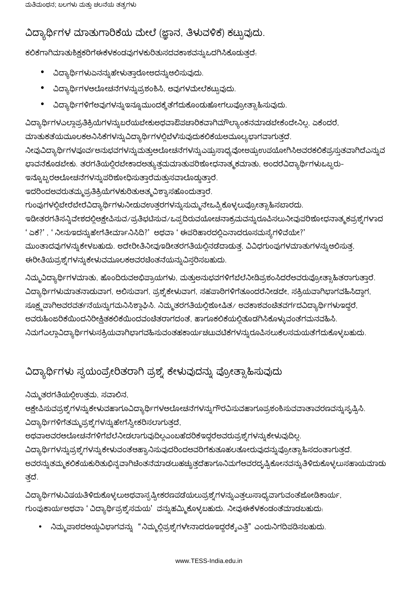ಮತಿಮಂಥನ; ಬಲಗಳು ಮತ್ತು ಚಲನೆಯ ತತ್ವಗಳು

#### ವಿದ್ಯಾರ್ಥಿಗಳ ಮಾತುಗಾರಿಕೆಯ ಮೇಲೆ (ಜ್ಞಾನ, ತಿಳುವಳಿಕೆ) ಕಟ್ಟುವುದು.

ಕಲಿಕೆಗಾಗಿಮಾತುಶಿಕ್ಷಕರಿಗೆಈಕೆಳಕಂಡವುಗಳಕುರಿತುಸದವಕಾಶವನ್ನುಒದಗಿಸಿಕೊಡುತ್ತದೆ.

- $\bullet$ ವಿದ್ಯಾರ್ಥಿಗಳುಏನನ್ನುಹೇಳುತ್ತಾರೋಅದನ್ನುಆಲಿಸುವುದು.
- ವಿದ್ಯಾರ್ಥಿಗಳಆಲೋಚನೆಗಳನ್ನುಪ್ರಶಂಶಿಸಿ, ಅವುಗಳಮೇಲೆಕಟ್ಟುವುದು.
- $\bullet$ ವಿದ್ಯಾರ್ಥಿಗಳಿಗೆಅವುಗಳನ್ನು ಇನ್ನೂ ಮುಂದಕ್ಕೆ ತೆಗೆದುಕೊಂಡುಹೋಗಲುಪ್ರೋತ್ಸಾಹಿಸುವುದು.

ವಿದ್ಯಾರ್ಥಿಗಳಎಲ್ಲಾಪ್ರತಿಕ್ರಿಯೆಗಳನ್ನುಬರೆಯಬೇಕುಅಥವಾಔಪಚಾರಿಕವಾಗಿಮೌಲ್ಯಾಂಕನಮಾಡಬೇಕೆಂದೇನಿಲ್ಲ, ಏಕೆಂದರೆ, ಮಾತುಕತೆಯಮೂಲಕಅನಿಸಿಕೆಗಳನ್ನುವಿದ್ಯಾರ್ಥಿಗಳಲ್ಲಿಬೆಳಸುವುದುಕಲಿಕೆಯಅಮೂಲ್ಯಭಾಗವಾಗುತ<mark>್ತ</mark>ದೆ. ನೀವುವಿದ್ಯಾರ್ಥಿಗಳಪೂರ್ವಅನುಭವಗಳನ್ನುಮತ್ತುಆಲೋಚನೆಗಳನ್ನುಎಷ್ಟುಸಾಧ್ಯವೋಅಷ್ಟುಉಪಯೋಗಿಸಿಅವರಕಲಿಕೆಪ್ರಸ್ತುತವಾಗಿದೆಎನ್ನುವ ಭಾವನೆಕೊಡಬೇಕು. ತರಗತಿಯಲ್ಲಿರಬೇಕಾದಅತ್ಯುತ್ತಮಮಾತುಪರಿಶೋಧನಾತ್ಮ್ರಕಮಾತು, ಅಂದರೆವಿದ್ಯಾರ್ಥಿಗಳುಒಬ್ಬರು-ಇನ್ನೊಬ್ಬರಆಲೋಚನೆಗಳನ್ನುಪರಿಶೋಧಿಸುತ್ತಾರೆಮತ್ತುಸವಾಲೊಡ್ಡುತ್ತಾರೆ. ಇದರಿಂದಅವರುತಮ್ಮಪ್ರತಿಕ್ರಿಯೆಗಳಕುರಿತುಆತ್ಮವಿಶ್ವಾಸಹೊಂದುತ್ತಾರೆ. ಗುಂಪುಗಳಲ್ಲಿಬೇರೆಬೇರೆವಿದ್ಯಾರ್ಥಿಗಳುನೀಡುವಉತ್ತರಗಳನ್ನುಸುಮ್ಮನೇಒಪ್ಪಿಕೊಳ್ಳಲುಪ್ರೋತ್ಸಾಹಿಸಬಾರದು. ಇಡೀತರಗತಿಸನ್ನಿವೇಶದಲ್ಲಿಆಕ್ಷೇಪಿಸುವ/ಪ್ರತಿಭಟಿಸುವ/ಒಪ್ಪದಿರುವಯೋಚನಾಕ್ರಮವನ್ನುರೂಪಿಸಲುನೀವುಪರಿಶೋಧನಾತ್ಮಕಪ್ರಶ್ನೆಗಳಾದ ' ಏಕೆ?' , ' ನೀನುಇದನ್ನುಹೇಗೆತೀರ್ಮಾನಿಸಿದಿ?' ಅಥವಾ ' ಈಪರಿಹಾರದಲ್ಲಿಏನಾದರೂಸಮಸ್ಯೆಗಳಿವೆಯೇ?' ಮುಂತಾದವುಗಳನ್ನುಕೇಳಬಹುದು. ಅದೇರೀತಿನೀವುಇಡೀತರಗತಿಯಲ್ಲಿನಡೆದಾಡುತ್ತ, ವಿವಿಧಗುಂಪುಗಳಮಾತುಗಳನ್ನುಆಲಿಸುತ್ತ, ಈರೀತಿಯಪ್ರಶ್ನೆಗಳನ್ನುಕೇಳುವಮೂಲಕಅವರಚೆಂತನೆಯನ್ನುವಿಸ್ತರಿಸಬಹುದು.

ನಿಮ್ಮವಿದ್ಯಾರ್ಥಿಗಳಮಾತು, ಹೊಂದಿರುವಅಭಿಪ್ರಾಯಗಳು, ಮತ್ತುಅನುಭವಗಳಿಗೆಬೆಲೆನೀಡಿಪ್ರಶಂಸಿದರೆಅವರುಪ್ರೋತ್ಸಾಹಿತರಾಗುತ್ತಾರೆ. ವಿದ್ಯಾರ್ಥಿಗಳುಮಾತನಾಡುವಾಗ, ಆಲಿಸುವಾಗ, ಪ್ರಶ್ನೆಕೇಳುವಾಗ, ಸಹಪಾಠಿಗಳಿಗೆತೂಂದರೆನೀಡದೇ, ಸಕ್ರಿಯವಾಗಿಭಾಗವಹಿಸಿದ್ದಾಗ, ಸೂಕ್ಷ್ಮವಾಗಿಅವರವರ್ತನೆಯನ್ನುಗಮನಿಸಿಶ್ಲಾಘಿಸಿ. ನಿಮ್ಮತರಗತಿಯಲ್ಲಿಶೋಷಿತ/ ಅವಕಾಶವಂಚಿತವರ್ಗದವಿದ್ಯಾರ್ಥಿಗಳುಇದ್ದರೆ, ಅವರುಹಿಂಜರಿಕೆಯಿಂದನಿರೀಕ್ಷಿತಕಲಿಕೆಯಿಂದವಂಚಿತರಾಗದಂತೆ, ಹಾಗೂಕಲಿಕೆಯಲ್ಲಿತೊಡಗಿಸಿಕೊಳ್ಳುವಂತೆಗಮನವಹಿಸಿ. ನಿಮಗೆಎಲ್ಲಾವಿದ್ಯಾರ್ಥಿಗಳುಸಕ್ರಿಯವಾಗಿಭಾಗವಹಿಸುವಂತಹಕಾರ್ಯಚಟುವಟಿಕೆಗಳನ್ನುರೂಪಿಸಲುಕೆಲಸಮಯತೆಗೆದುಕೊಳ್ಳಬಹುದು.

#### ವಿದ್ಯಾರ್ಥಿಗಳು ಸ್ವಯಂಪ್ರೇರಿತರಾಗಿ ಪ್ರಶ್ನೆ ಕೇಳುವುದನ್ನು ಪ್ರೋತ್ಸಾಹಿಸುವುದು

ನಿಮ್ಮತರಗತಿಯಲ್ಲಿಉತ್ತಮ, ಸವಾಲಿನ,

ಆಕ್ಷೇಪಿಸುವಪ್ರಶ್ನೆಗಳನ್ನುಕೇಳುವಹಾಗೂವಿದ್ಯಾರ್ಥಿಗಳಆಲೋಚನೆಗಳನ್ನುಗೌರವಿಸುವಹಾಗೂಪ್ರಶಂಶಿಸುವವಾತಾವರಣವನ್ನುಸೃಷ್ಟಿಸಿ. ವಿದ್ಯಾರ್ಥಿಗಳಿಗೆತಮ್ಮಪ್ರಶ್ನೆಗಳನ್ನುಹೇಗೆಸ್ವೀಕರಿಸಲಾಗುತ್ತದೆ,

ಅಥವಾಅವರಆಲೋಚನೆಗಳಿಗೆಬೆಲೆನೀಡಲಾಗುವುದಿಲ್ಲಎಂಬಹೆದರಿಕೆಇದ್ದರೆಅವರುಪ್ರಶ್ನೆಗಳನ್ನು ಕೇಳುವುದಿಲ್ಲ.

ವಿದ್ಯಾರ್ಥಿಗಳನ್ನುಪ್ರಶ್ನೆಗಳನ್ನುಕೇಳುವಂತೆಆಹ್ವಾನಿಸುವುದರಿಂದಅವರಿಗೆಕುತೂಹಲತೋರುವುದನ್ನುಪ್ರೋತ್ಸಾಹಿಸದಂತಾಗುತ್ತದೆ.

ಅವರನ್ನುತಮ್ಮಕಲಿಕೆಯಕುರಿತುಭಿನ್ನವಾಗಿಚಿಂತನೆಮಾಡಲುಹಚ್ಚುತ್ತದೆಹಾಗೂನಿಮಗೆಅವರದೃಷ್ಟಿಕೋನವನ್ನುತಿಳಿದುಕೊಳ್ಳಲುಸಹಾಯಮಾಡು ತ್ತದೆ.

ವಿದ್ಯಾರ್ಥಿಗಳುವಿಷಯತಿಳಿದುಕೊಳ್ಳಲುಅಥವಾಸ್ಪಷ್ಟೀಕರಣಪಡೆಯಲುಪ್ರಶ್ನೆಗಳನ್ನುಎತ್ತಲುಸಾಧ್ಯವಾಗುವಂತೆಜೋಡಿಕಾರ್ಯ, ಗುಂಪುಕಾರ್ಯಅಥವಾ 'ವಿದ್ಯಾರ್ಥಿಪ್ರಶ್ನೆಸಮಯ' ವನ್ನುಹಮ್ಮಿಕೊಳ್ಳಬಹುದು. ನೀವುಈಕೆಳಕಂಡಂತೆಮಾಡಬಹುದು.

ನಿಮ್ಮಪಾಠದಆಯ್ದವಿಭಾಗವನ್ನು "ನಿಮ್ಮಲ್ಲಿಪ್ರಶ್ನೆಗಳೇನಾದರೂಇದ್ದರೆಕ್ಶೆಎತ್ತಿ" ಎಂದುನಿಗದಿಪಡಿಸಬಹುದು.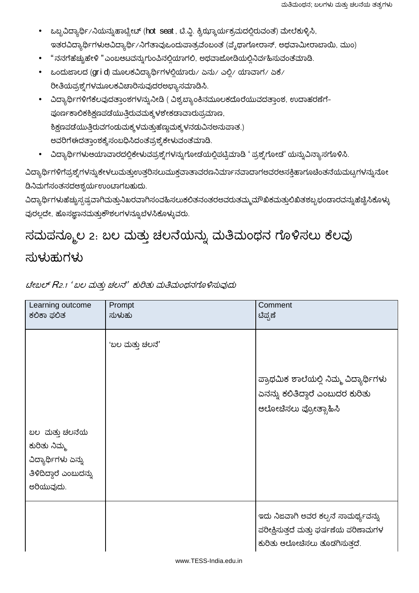- ಒಬ್ಬವಿದ್ಯಾರ್ಥಿ/ನಿಯನ್ನುಹಾಟ್ಸೀಟ್ (hot seat, ಟಿ.ವ್ಹಿ. ಕ್ವಿಝ್ಕಾರ್ಯಕ್ರಮದಲ್ಲಿರುವಂತೆ) ಮೇಲೆಕುಳ್ಳಿಸಿ, ಇತರವಿದ್ಯಾರ್ಥಿಗಳುಆವಿದ್ಯಾರ್ಥಿ/ನಿಗೆತಾವುಒಂದುಪಾತ್ರವೆಂಬಂತೆ (ಪ್ಯೆಥಾಗೋರಾಸ್, ಅಥವಾಮೀರಾಬಾಯಿ, ಮುಂ)
- "ನನಗೆಹೆಚ್ಚುಹೇಳಿ "ಎಂಬಆಟವನ್ನುಗುಂಪಿನಲ್ಲಿಯಾಗಲಿ, ಅಥವಾಜೋಡಿಯಲ್ಲಿನಿರ್ವಹಿಸುವಂತೆಮಾಡಿ.
- ಒಂದುಜಾಲದ (grid) ಮೂಲಕವಿದ್ಯಾರ್ಥಿಗಳಲ್ಲಿಯಾರು/ ಏನು/ ಎಲ್ಲಿ/ ಯಾವಾಗ/ ಏಕೆ/ ರೀತಿಯಪ್ರಶ್ನೆಗಳಮೂಲಕವಿಚಾರಿಸುವುದರಅಭ್ಯಾಸಮಾಡಿಸಿ.
- ವಿದ್ಯಾರ್ಥಿಗಳಿಗೆಕೆಲವುದತ್ತಾಂಶಗಳನ್ನುನೀಡಿ (ವಿಶ್ವಬ್ಯಾಂಕಿನಮೂಲಕದೊರೆಯುವದತ್ತಾಂಶ, ಉದಾಹರಣೆಗೆ-ಪೂರ್ಣಕಾಲಿಕಶಿಕ್ಷಣಪಡೆಯುತ್ತಿರುವಮಕ್ಕಳಶೇಕಡಾವಾರುಪ್ರಮಾಣ, ಶಿಕ್ಷಣಪಡೆಯುತ್ತಿರುವಗಂಡುಮಕ್ಕಳಮತ್ತುಹೆಣ್ಣುಮಕ್ಕಳನಡುವಿನಅನುಪಾತ.) ಅವರಿಗೆಈದತ್ತಾಂಶಕ್ಕೆ ಸಂಬಧಿಸಿದಂತೆಪ್ರಶ್ನೆ ಕೇಳುವಂತೆಮಾಡಿ.
- ವಿದ್ಯಾರ್ಥಿಗಳುಆಯಾವಾರದಲ್ಲಿಕೇಳುವಪ್ರಶ್ನೆಗಳನ್ನುಗೋಡೆಯಲ್ಲಿಪಟ್ಟಿಮಾಡಿ ' ಪ್ರಶ್ನೆಗೋಡೆ' ಯನ್ನುವಿನ್ಯಾಸಗೊಳಿಸಿ.

ವಿದ್ಯಾರ್ಥಿಗಳಿಗೆಪ್ರಶ್ನೆಗಳನ್ನುಕೇಳಲುಮತ್ತುಉತ್ತರಿಸಲುಮುಕ್ತವಾತಾವರಣನಿರ್ಮಾನವಾದಾಗಅವರಆಸಕ್ತಿಹಾಗೂಚಿಂತನೆಯಮಟ್ಟಗಳನ್ನುನೋ ಡಿನಿಮಗೆಸಂತಸದಆಶ್ಚರ್ಯಉಂಟಾಗಬಹುದು.

ವಿದ್ಯಾರ್ಥಿಗಳುಹೆಚ್ಚುಸ್ಪಷ್ಟವಾಗಿಮತ್ತುನಿಖರವಾಗಿಸಂವಹಿಸಲುಕಲಿತನಂತರಅವರುತಮ್ಮಮೌಖಿಕಮತ್ತುಲಿಖಿತಶಬ್ಬಭಂಡಾರವನ್ನುಹೆಚ್ಚಿಸಿಕೊಳ್ಳು ವುರಲ್ಲದೇ, ಹೊಸಜ್ಞಾನಮತ್ತುಕೌಶಲಗಳನ್ನೂಬೆಳಸಿಕೊಳ್ಳುವರು.

### ಸಮಪನ್ಮೂಲ 2: ಬಲ ಮತ್ತು ಚಲನೆಯನ್ನು ಮತಿಮಂಥನ ಗೊಳಿಸಲು ಕೆಲವು ಸುಳುಹುಗಳು

| ಟೇಬಲ್ R2.1 'ಬಲ ಮತು ಚಲನೆ' ಕುರಿತು ಮತಿಮಂಥನಗೊಳಿಸುವುದು |  |
|---------------------------------------------------|--|
|---------------------------------------------------|--|

| Learning outcome<br>ಕಲಿಕಾ ಫಲಿತ                                                                | Prompt<br>ಸುಳುಹು | Comment<br>ಟಿಪ್ಪಣೆ                                                                                             |
|-----------------------------------------------------------------------------------------------|------------------|----------------------------------------------------------------------------------------------------------------|
| ಬಲ ಮತ್ತು ಚಲನೆಯ<br>ಕುರಿತು ನಿಮ್ಮ<br>ವಿದ್ಯಾರ್ಥಿಗಳು ಏನ್ನು<br>ತಿಳಿದಿದ್ದಾರೆ ಎಂಬುದನ್ನು<br>ಅರಿಯುವುದು. | 'ಬಲ ಮತ್ತು ಚಲನೆ'  | ಪ್ರಾಥಮಿಕ ಶಾಲೆಯಲ್ಲಿ ನಿಮ್ಮ ವಿದ್ಯಾರ್ಥಿಗಳು<br>ಏನನ್ನು ಕಲಿತಿದ್ದಾರೆ ಎಂಬುದರ ಕುರಿತು<br>ಆಲೋಚಿಸಲು ಪ್ರೋತ್ಸಾಹಿಸಿ            |
|                                                                                               |                  | ಇದು ನಿಜವಾಗಿ ಅವರ ಕಲ್ಪನೆ ಸಾಮರ್ಥ್ಯವನ್ನು<br>ಪರೀಕ್ಷಿಸುತ್ತದೆ ಮತ್ತು ಘರ್ಷಣೆಯ ಪರಿಣಾಮಗಳ<br>ಕುರಿತು ಆಲೋಚಿಸಲು ತೊಡಗಿಸುತ್ತದೆ. |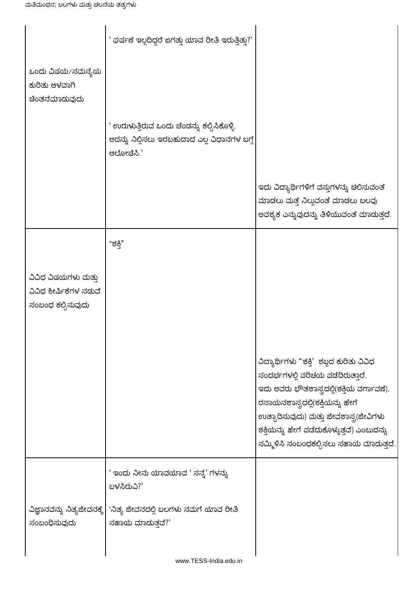|                                                                    | ' ಘರ್ಷಣೆ ಇಲ್ಲದಿದ್ದರೆ ಜಗತ್ತು ಯಾವ ರೀತಿ ಇರುತ್ತಿತ್ತು?'                                                       |                                                                                                                                                                                                                                                                                                       |
|--------------------------------------------------------------------|----------------------------------------------------------------------------------------------------------|-------------------------------------------------------------------------------------------------------------------------------------------------------------------------------------------------------------------------------------------------------------------------------------------------------|
| ಒಂದು ವಿಷಯ/ಸಮಸ್ಯೆಯ<br>ಕುರಿತು ಆಳವಾಗಿ<br>ಚಿಂತನೆಮಾಡುವುದು               |                                                                                                          |                                                                                                                                                                                                                                                                                                       |
|                                                                    | ' ಉರುಳುತ್ತಿರುವ ಒಂದು ಚೆಂಡನ್ನು ಕಲ್ಪಿಸಿಕೊಳ್ಳಿ.<br>ಅದನ್ನು ನಿಲ್ಲಿಸಲು ಇರಬಹುದಾದ ಎಲ್ಲ ವಿಧಾನಗಳ ಬಗ್ಗೆ<br>ಆಲೋಚಿಸಿ.' |                                                                                                                                                                                                                                                                                                       |
|                                                                    |                                                                                                          | ಇದು ವಿದ್ಯಾರ್ಥಿಗಳಿಗೆ ವಸ್ತುಗಳನ್ನು ಚಲಿಸುವಂತೆ<br>ಮಾಡಲು ಮತ್ತೆ ನಿಲ್ಲುವಂತೆ ಮಾಡಲು ಬಲವು<br>ಅವಶ್ಯಕ ಎನ್ನುವುದನ್ನು ತಿಳಿಯುವಂತೆ ಮಾಡುತ್ತದೆ.                                                                                                                                                                           |
|                                                                    | "ಶಕ್ತಿ"                                                                                                  |                                                                                                                                                                                                                                                                                                       |
| ವಿವಿಧ ವಿಷಯಗಳು ಮತ್ತು<br>ವಿವಿಧ ಶೀರ್ಷಿಕೆಗಳ ನಡುವೆ<br>ಸಂಬಂಧ ಕಲ್ಪಿಸುವುದು |                                                                                                          |                                                                                                                                                                                                                                                                                                       |
|                                                                    |                                                                                                          | ವಿದ್ಯಾರ್ಥಿಗಳು "ಶಕ್ತಿ' ಶಬ್ದದ ಕುರಿತು ವಿವಿಧ<br>ಸಂದರ್ಭಗಳಲ್ಲಿ ಪರಿಚಯ ಪಡೆದಿರುತ್ತಾರೆ.<br>ಇದು ಅವರು ಭೌತಶಾಸ್ತ್ರದಲ್ಲಿ(ಶಕ್ತಿಯ ವರ್ಗಾವಣೆ),<br>ರಸಾಯನಶಾಸ್ತ್ರದಲ್ಲಿ(ಶಕ್ತಿಯನ್ನು ಹೇಗೆ<br>ಉತ್ಪಾದಿಸುವುದು) ಮತ್ತು ಜೀವಶಾಸ್ತ್ರ(ಜೀವಿಗಳು<br>ಶಕ್ತಿಯನ್ನು ಹೇಗೆ ಪಡೆದುಕೊಳ್ಳುತ್ತವೆ) ಎಂಬುದನ್ನು<br>ಸಮ್ಮಿಳಿಸಿ ಸಂಬಂಧಕಲ್ಪಿಸಲು ಸಹಾಯ ಮಾಡುತ್ತದೆ. |
|                                                                    | ' ಇಂದು ನೀನು ಯಾವಯಾವ ' ಸನ್ನೆ' ಗಳನ್ನು<br>ಬಳಸಿರುವಿ?'                                                         |                                                                                                                                                                                                                                                                                                       |
| ವಿಜ್ಞಾನದನ್ನು ನಿತ್ಯಜೀದನಕ್ಕೆ<br>ಸಂಬಂಧಿಸುವುದು                         | 'ನಿತ್ಯ ಜೀವನದಲ್ಲಿ ಬಲಗಳು ನಮಗೆ ಯಾವ ರೀತಿ<br>ಸಹಾಯ ಮಾಡುತ್ತವೆ?'                                                 |                                                                                                                                                                                                                                                                                                       |